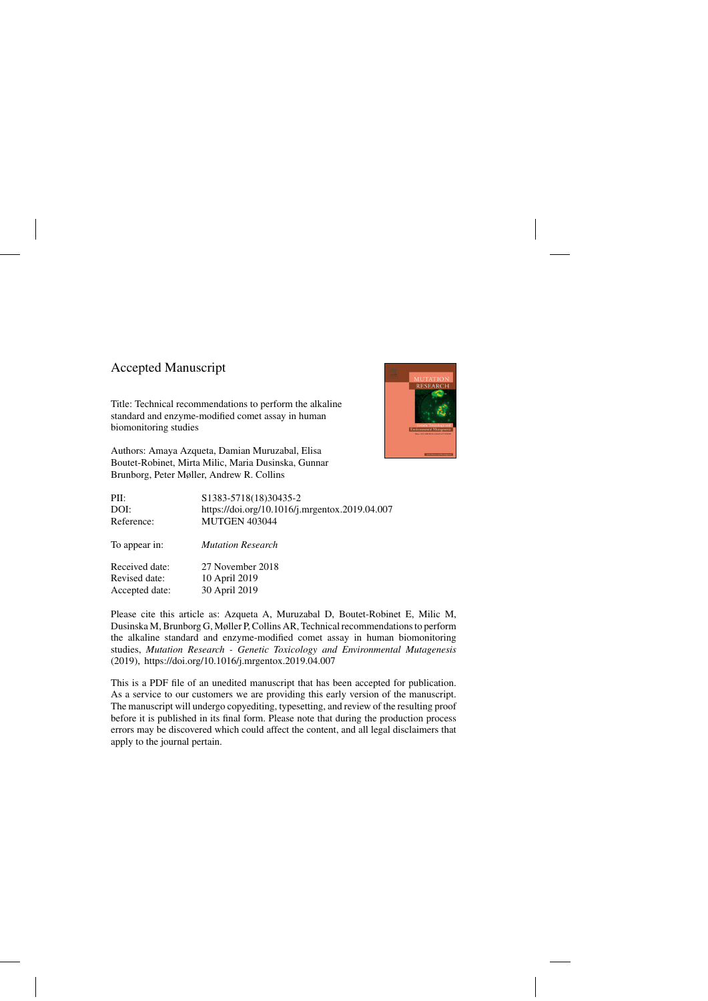## Accepted Manuscript

Accepted date: 30 April 2019

Title: Technical recommendations to perform the alkaline standard and enzyme-modified comet assay in human biomonitoring studies

Authors: Amaya Azqueta, Damian Muruzabal, Elisa Boutet-Robinet, Mirta Milic, Maria Dusinska, Gunnar Brunborg, Peter Møller, Andrew R. Collins



PII: S1383-5718(18)30435-2 DOI:<https://doi.org/10.1016/j.mrgentox.2019.04.007> Reference: MUTGEN 403044 To appear in: *Mutation Research* Received date: 27 November 2018 Revised date: 10 April 2019

Please cite this article as: Azqueta A, Muruzabal D, Boutet-Robinet E, Milic M, Dusinska M, Brunborg G, Møller P, Collins AR, Technical recommendations to perform the alkaline standard and enzyme-modified comet assay in human biomonitoring studies, *Mutation Research - Genetic Toxicology and Environmental Mutagenesis* (2019),<https://doi.org/10.1016/j.mrgentox.2019.04.007>

This is a PDF file of an unedited manuscript that has been accepted for publication. As a service to our customers we are providing this early version of the manuscript. The manuscript will undergo copyediting, typesetting, and review of the resulting proof before it is published in its final form. Please note that during the production process errors may be discovered which could affect the content, and all legal disclaimers that apply to the journal pertain.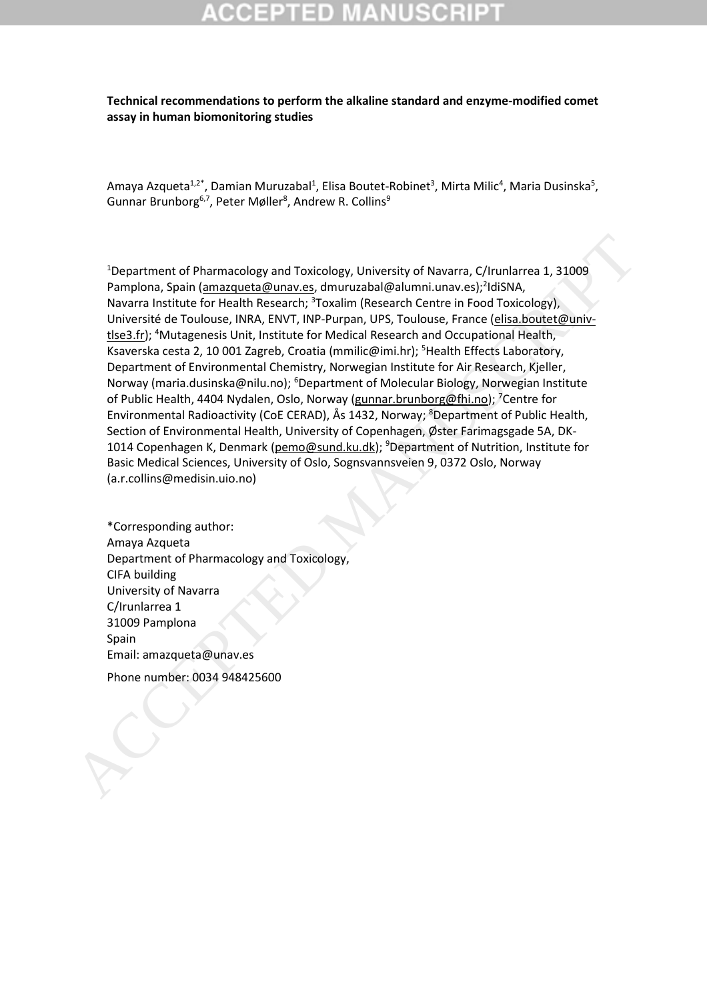## **Technical recommendations to perform the alkaline standard and enzyme-modified comet assay in human biomonitoring studies**

Amaya Azqueta<sup>1,2\*</sup>, Damian Muruzabal<sup>1</sup>, Elisa Boutet-Robinet<sup>3</sup>, Mirta Milic<sup>4</sup>, Maria Dusinska<sup>5</sup>, Gunnar Brunborg<sup>6,7</sup>, Peter Møller<sup>8</sup>, Andrew R. Collins<sup>9</sup>

<sup>1</sup>Department of Pharmacology and Toxicology, University of Navarra, C/Irunlarrea 1, 31009 Pamplona, Spain (<u>amazqueta@unav.es</u>, dmuruzabal@alumni.unav.es);<sup>2</sup>IdiSNA, Navarra Institute for Health Research; <sup>3</sup>Toxalim (Research Centre in Food Toxicology), Université de Toulouse, INRA, ENVT, INP-Purpan, UPS, Toulouse, France (elisa.boutet@univtlse3.fr); <sup>4</sup>Mutagenesis Unit, Institute for Medical Research and Occupational Health, Ksaverska cesta 2, 10 001 Zagreb, Croatia (mmilic@imi.hr); <sup>5</sup>Health Effects Laboratory, Department of Environmental Chemistry, Norwegian Institute for Air Research, Kjeller, Norway (maria.dusinska@nilu.no); <sup>6</sup>Department of Molecular Biology, Norwegian Institute of Public Health, 4404 Nydalen, Oslo, Norway (gunnar.brunborg@fhi.no); <sup>7</sup>Centre for Environmental Radioactivity (CoE CERAD), Ås 1432, Norway; <sup>8</sup>Department of Public Health, Section of Environmental Health, University of Copenhagen, Øster Farimagsgade 5A, DK-1014 Copenhagen K, Denmark (pemo@sund.ku.dk); <sup>9</sup>Department of Nutrition, Institute for Basic Medical Sciences, University of Oslo, Sognsvannsveien 9, 0372 Oslo, Norway (a.r.collins@medisin.uio.no) Toepartment of Pharmacology and Toxicology, University of Navarra, C/Irunlarea 1, 31009<br>
Pamplona, Spain (amazoueta@unaves, dmuruzabal@alumni.unaves);<sup>1</sup>diSN[A](mailto:pemo@sund.ku.dk),<br>
Navarra linstitute for Nealth Research;<sup>1</sup>Toralim (Research c

\*Corresponding author: Amaya Azqueta Department of Pharmacology and Toxicology, CIFA building University of Navarra C/Irunlarrea 1 31009 Pamplona Spain Email: amazqueta@unav.es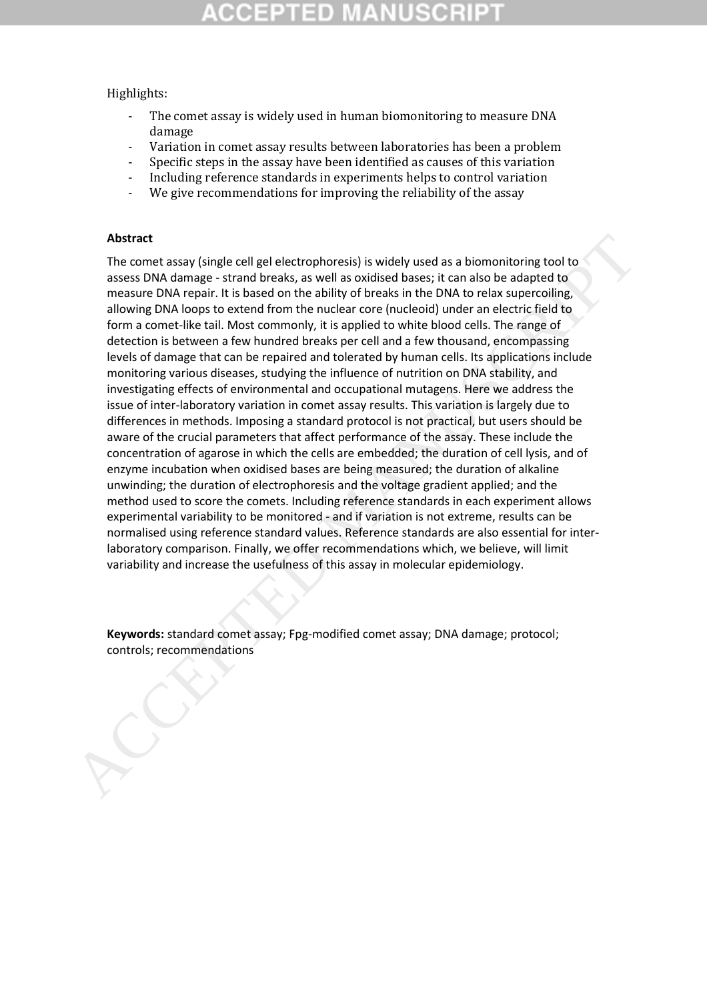Highlights:

- The comet assay is widely used in human biomonitoring to measure DNA damage
- Variation in comet assay results between laboratories has been a problem
- Specific steps in the assay have been identified as causes of this variation
- Including reference standards in experiments helps to control variation
- We give recommendations for improving the reliability of the assay

## **Abstract**

The comet assay (single cell gel electrophoresis) is widely used as a biomonitoring tool to assess DNA damage - strand breaks, as well as oxidised bases; it can also be adapted to measure DNA repair. It is based on the ability of breaks in the DNA to relax supercoiling, allowing DNA loops to extend from the nuclear core (nucleoid) under an electric field to form a comet-like tail. Most commonly, it is applied to white blood cells. The range of detection is between a few hundred breaks per cell and a few thousand, encompassing levels of damage that can be repaired and tolerated by human cells. Its applications include monitoring various diseases, studying the influence of nutrition on DNA stability, and investigating effects of environmental and occupational mutagens. Here we address the issue of inter-laboratory variation in comet assay results. This variation is largely due to differences in methods. Imposing a standard protocol is not practical, but users should be aware of the crucial parameters that affect performance of the assay. These include the concentration of agarose in which the cells are embedded; the duration of cell lysis, and of enzyme incubation when oxidised bases are being measured; the duration of alkaline unwinding; the duration of electrophoresis and the voltage gradient applied; and the method used to score the comets. Including reference standards in each experiment allows experimental variability to be monitored - and if variation is not extreme, results can be normalised using reference standard values. Reference standards are also essential for interlaboratory comparison. Finally, we offer recommendations which, we believe, will limit variability and increase the usefulness of this assay in molecular epidemiology. Abstract<br>The comet assay (single cell gel electrophoresis) is widely used as a biomonitoring tool to<br>assess DNA damage - strand breaks, as well as oxidised bases; It can also be adapted to<br>measure DNA repair. It is based o

**Keywords:** standard comet assay; Fpg-modified comet assay; DNA damage; protocol; controls; recommendations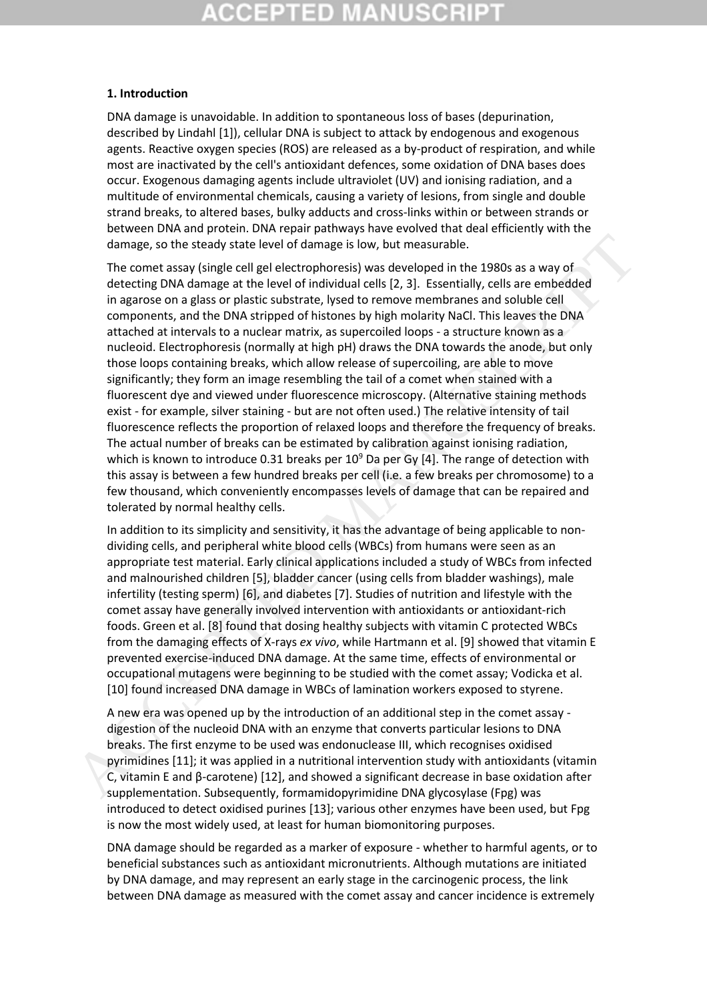# CEPTED M

### **1. Introduction**

DNA damage is unavoidable. In addition to spontaneous loss of bases (depurination, described by Lindahl [1]), cellular DNA is subject to attack by endogenous and exogenous agents. Reactive oxygen species (ROS) are released as a by-product of respiration, and while most are inactivated by the cell's antioxidant defences, some oxidation of DNA bases does occur. Exogenous damaging agents include ultraviolet (UV) and ionising radiation, and a multitude of environmental chemicals, causing a variety of lesions, from single and double strand breaks, to altered bases, bulky adducts and cross-links within or between strands or between DNA and protein. DNA repair pathways have evolved that deal efficiently with the damage, so the steady state level of damage is low, but measurable.

The comet assay (single cell gel electrophoresis) was developed in the 1980s as a way of detecting DNA damage at the level of individual cells [2, 3]. Essentially, cells are embedded in agarose on a glass or plastic substrate, lysed to remove membranes and soluble cell components, and the DNA stripped of histones by high molarity NaCl. This leaves the DNA attached at intervals to a nuclear matrix, as supercoiled loops - a structure known as a nucleoid. Electrophoresis (normally at high pH) draws the DNA towards the anode, but only those loops containing breaks, which allow release of supercoiling, are able to move significantly; they form an image resembling the tail of a comet when stained with a fluorescent dye and viewed under fluorescence microscopy. (Alternative staining methods exist - for example, silver staining - but are not often used.) The relative intensity of tail fluorescence reflects the proportion of relaxed loops and therefore the frequency of breaks. The actual number of breaks can be estimated by calibration against ionising radiation, which is known to introduce 0.31 breaks per  $10^9$  Da per Gy [4]. The range of detection with this assay is between a few hundred breaks per cell (i.e. a few breaks per chromosome) to a few thousand, which conveniently encompasses levels of damage that can be repaired and tolerated by normal healthy cells. damage, so the steady state level of damage is low, but measurable.<br>The cometa asspy (single cell gel electrophoresis) was developed in the 1980s as a way of<br>detecting DNA damage at the level of individual cells (2, 3). Es

In addition to its simplicity and sensitivity, it has the advantage of being applicable to nondividing cells, and peripheral white blood cells (WBCs) from humans were seen as an appropriate test material. Early clinical applications included a study of WBCs from infected and malnourished children [5], bladder cancer (using cells from bladder washings), male infertility (testing sperm) [6], and diabetes [7]. Studies of nutrition and lifestyle with the comet assay have generally involved intervention with antioxidants or antioxidant-rich foods. Green et al. [8] found that dosing healthy subjects with vitamin C protected WBCs from the damaging effects of X-rays *ex vivo*, while Hartmann et al. [9] showed that vitamin E prevented exercise-induced DNA damage. At the same time, effects of environmental or occupational mutagens were beginning to be studied with the comet assay; Vodicka et al. [10] found increased DNA damage in WBCs of lamination workers exposed to styrene.

A new era was opened up by the introduction of an additional step in the comet assay digestion of the nucleoid DNA with an enzyme that converts particular lesions to DNA breaks. The first enzyme to be used was endonuclease III, which recognises oxidised pyrimidines [11]; it was applied in a nutritional intervention study with antioxidants (vitamin C, vitamin E and β-carotene) [12], and showed a significant decrease in base oxidation after supplementation. Subsequently, formamidopyrimidine DNA glycosylase (Fpg) was introduced to detect oxidised purines [13]; various other enzymes have been used, but Fpg is now the most widely used, at least for human biomonitoring purposes.

DNA damage should be regarded as a marker of exposure - whether to harmful agents, or to beneficial substances such as antioxidant micronutrients. Although mutations are initiated by DNA damage, and may represent an early stage in the carcinogenic process, the link between DNA damage as measured with the comet assay and cancer incidence is extremely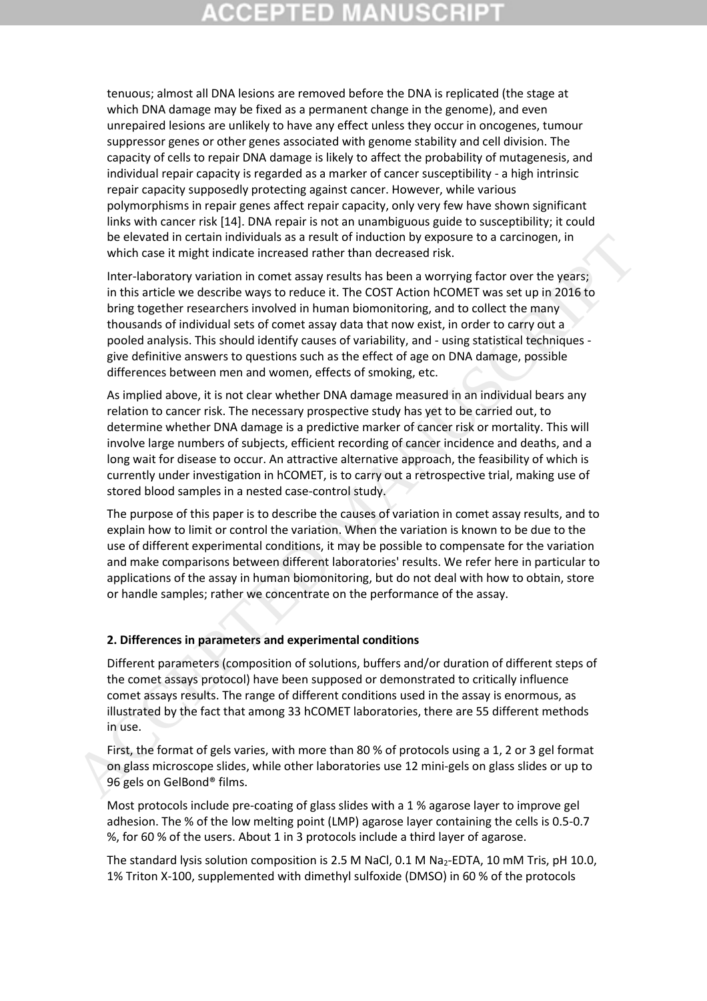# CEPTED M

tenuous; almost all DNA lesions are removed before the DNA is replicated (the stage at which DNA damage may be fixed as a permanent change in the genome), and even unrepaired lesions are unlikely to have any effect unless they occur in oncogenes, tumour suppressor genes or other genes associated with genome stability and cell division. The capacity of cells to repair DNA damage is likely to affect the probability of mutagenesis, and individual repair capacity is regarded as a marker of cancer susceptibility - a high intrinsic repair capacity supposedly protecting against cancer. However, while various polymorphisms in repair genes affect repair capacity, only very few have shown significant links with cancer risk [14]. DNA repair is not an unambiguous guide to susceptibility; it could be elevated in certain individuals as a result of induction by exposure to a carcinogen, in which case it might indicate increased rather than decreased risk.

Inter-laboratory variation in comet assay results has been a worrying factor over the years; in this article we describe ways to reduce it. The COST Action hCOMET was set up in 2016 to bring together researchers involved in human biomonitoring, and to collect the many thousands of individual sets of comet assay data that now exist, in order to carry out a pooled analysis. This should identify causes of variability, and - using statistical techniques give definitive answers to questions such as the effect of age on DNA damage, possible differences between men and women, effects of smoking, etc. be elevated in certain induviduals as a result of induction by exposure to a carcinogen, in<br>
which case it might indicate increased rather than decreased risk.<br>
Inter-laboratory variation in comet assay results has been a

As implied above, it is not clear whether DNA damage measured in an individual bears any relation to cancer risk. The necessary prospective study has yet to be carried out, to determine whether DNA damage is a predictive marker of cancer risk or mortality. This will involve large numbers of subjects, efficient recording of cancer incidence and deaths, and a long wait for disease to occur. An attractive alternative approach, the feasibility of which is currently under investigation in hCOMET, is to carry out a retrospective trial, making use of stored blood samples in a nested case-control study.

The purpose of this paper is to describe the causes of variation in comet assay results, and to explain how to limit or control the variation. When the variation is known to be due to the use of different experimental conditions, it may be possible to compensate for the variation and make comparisons between different laboratories' results. We refer here in particular to applications of the assay in human biomonitoring, but do not deal with how to obtain, store or handle samples; rather we concentrate on the performance of the assay.

#### **2. Differences in parameters and experimental conditions**

Different parameters (composition of solutions, buffers and/or duration of different steps of the comet assays protocol) have been supposed or demonstrated to critically influence comet assays results. The range of different conditions used in the assay is enormous, as illustrated by the fact that among 33 hCOMET laboratories, there are 55 different methods in use.

First, the format of gels varies, with more than 80 % of protocols using a 1, 2 or 3 gel format on glass microscope slides, while other laboratories use 12 mini-gels on glass slides or up to 96 gels on GelBond® films.

Most protocols include pre-coating of glass slides with a 1 % agarose layer to improve gel adhesion. The % of the low melting point (LMP) agarose layer containing the cells is 0.5-0.7 %, for 60 % of the users. About 1 in 3 protocols include a third layer of agarose.

The standard lysis solution composition is 2.5 M NaCl, 0.1 M Na<sub>2</sub>-EDTA, 10 mM Tris, pH 10.0, 1% Triton X-100, supplemented with dimethyl sulfoxide (DMSO) in 60 % of the protocols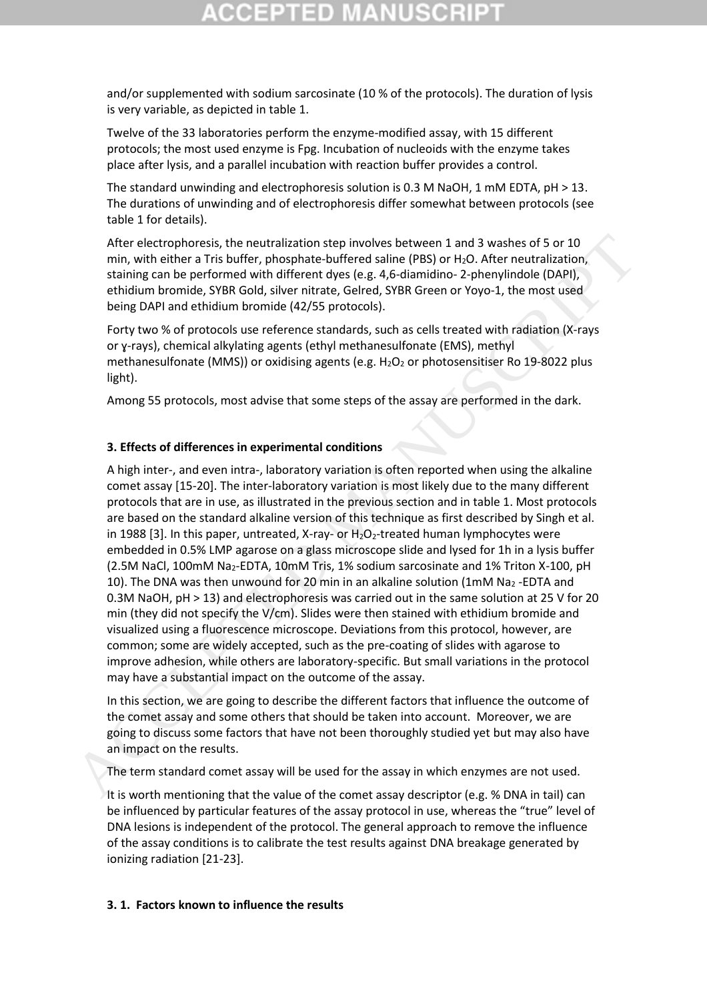# GEPTED

and/or supplemented with sodium sarcosinate (10 % of the protocols). The duration of lysis is very variable, as depicted in table 1.

Twelve of the 33 laboratories perform the enzyme-modified assay, with 15 different protocols; the most used enzyme is Fpg. Incubation of nucleoids with the enzyme takes place after lysis, and a parallel incubation with reaction buffer provides a control.

The standard unwinding and electrophoresis solution is 0.3 M NaOH, 1 mM EDTA,  $pH > 13$ . The durations of unwinding and of electrophoresis differ somewhat between protocols (see table 1 for details).

After electrophoresis, the neutralization step involves between 1 and 3 washes of 5 or 10 min, with either a Tris buffer, phosphate-buffered saline (PBS) or H<sub>2</sub>O. After neutralization, staining can be performed with different dyes (e.g. 4,6-diamidino- 2-phenylindole (DAPI), ethidium bromide, SYBR Gold, silver nitrate, Gelred, SYBR Green or Yoyo-1, the most used being DAPI and ethidium bromide (42/55 protocols).

Forty two % of protocols use reference standards, such as cells treated with radiation (X-rays or ɣ-rays), chemical alkylating agents (ethyl methanesulfonate (EMS), methyl methanesulfonate (MMS)) or oxidising agents (e.g.  $H_2O_2$  or photosensitiser Ro 19-8022 plus light).

Among 55 protocols, most advise that some steps of the assay are performed in the dark.

### **3. Effects of differences in experimental conditions**

A high inter-, and even intra-, laboratory variation is often reported when using the alkaline comet assay [15-20]. The inter-laboratory variation is most likely due to the many different protocols that are in use, as illustrated in the previous section and in table 1. Most protocols are based on the standard alkaline version of this technique as first described by Singh et al. in 1988 [3]. In this paper, untreated, X-ray- or  $H_2O_2$ -treated human lymphocytes were embedded in 0.5% LMP agarose on a glass microscope slide and lysed for 1h in a lysis buffer (2.5M NaCl, 100mM Na2-EDTA, 10mM Tris, 1% sodium sarcosinate and 1% Triton X-100, pH 10). The DNA was then unwound for 20 min in an alkaline solution (1mM Na<sup>2</sup> -EDTA and 0.3M NaOH, pH > 13) and electrophoresis was carried out in the same solution at 25 V for 20 min (they did not specify the V/cm). Slides were then stained with ethidium bromide and visualized using a fluorescence microscope. Deviations from this protocol, however, are common; some are widely accepted, such as the pre-coating of slides with agarose to improve adhesion, while others are laboratory-specific. But small variations in the protocol may have a substantial impact on the outcome of the assay. After electrophoresis, the meutalization step involves between 1 and 3 washes of 5 or 10<br>
min, with either a Tris buffer, phosphate-buffreed saline (PBS) or H<sub>3</sub>O. After neutralization,<br>
staining can be performed with dif

In this section, we are going to describe the different factors that influence the outcome of the comet assay and some others that should be taken into account. Moreover, we are going to discuss some factors that have not been thoroughly studied yet but may also have an impact on the results.

The term standard comet assay will be used for the assay in which enzymes are not used.

It is worth mentioning that the value of the comet assay descriptor (e.g. % DNA in tail) can be influenced by particular features of the assay protocol in use, whereas the "true" level of DNA lesions is independent of the protocol. The general approach to remove the influence of the assay conditions is to calibrate the test results against DNA breakage generated by ionizing radiation [21-23].

#### **3. 1. Factors known to influence the results**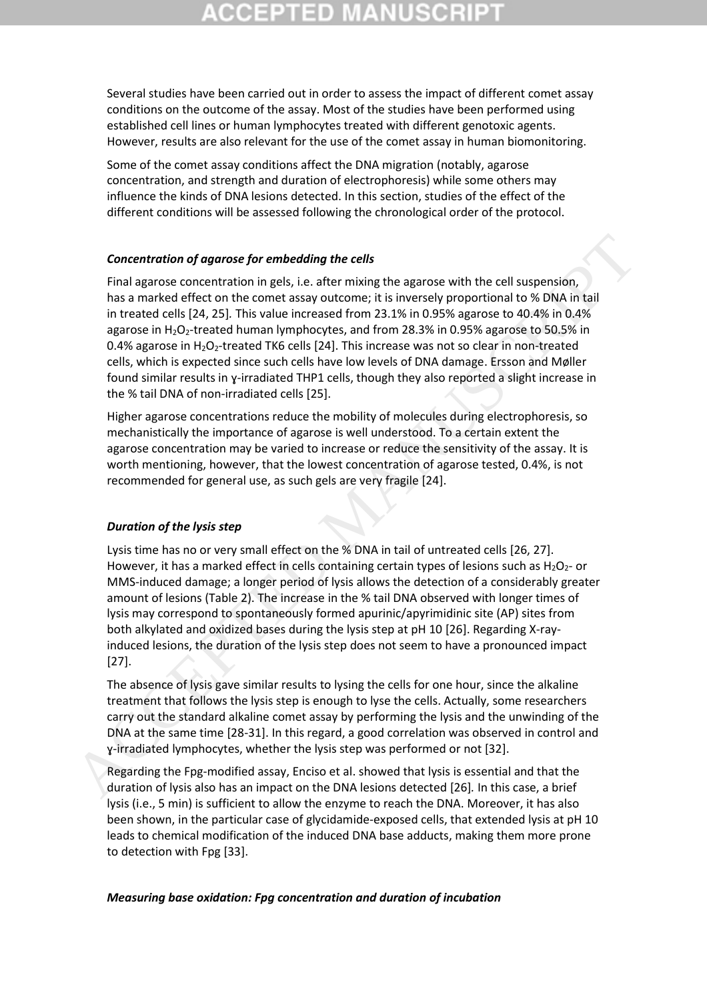Several studies have been carried out in order to assess the impact of different comet assay conditions on the outcome of the assay. Most of the studies have been performed using established cell lines or human lymphocytes treated with different genotoxic agents. However, results are also relevant for the use of the comet assay in human biomonitoring.

Some of the comet assay conditions affect the DNA migration (notably, agarose concentration, and strength and duration of electrophoresis) while some others may influence the kinds of DNA lesions detected. In this section, studies of the effect of the different conditions will be assessed following the chronological order of the protocol.

### *Concentration of agarose for embedding the cells*

Final agarose concentration in gels, i.e. after mixing the agarose with the cell suspension, has a marked effect on the comet assay outcome; it is inversely proportional to % DNA in tail in treated cells [24, 25]*.* This value increased from 23.1% in 0.95% agarose to 40.4% in 0.4% agarose in  $H_2O_2$ -treated human lymphocytes, and from 28.3% in 0.95% agarose to 50.5% in 0.4% agarose in  $H_2O_2$ -treated TK6 cells [24]. This increase was not so clear in non-treated cells, which is expected since such cells have low levels of DNA damage. Ersson and Møller found similar results in ɣ-irradiated THP1 cells, though they also reported a slight increase in the % tail DNA of non-irradiated cells [25].

Higher agarose concentrations reduce the mobility of molecules during electrophoresis, so mechanistically the importance of agarose is well understood. To a certain extent the agarose concentration may be varied to increase or reduce the sensitivity of the assay. It is worth mentioning, however, that the lowest concentration of agarose tested, 0.4%, is not recommended for general use, as such gels are very fragile [24].

#### *Duration of the lysis step*

Lysis time has no or very small effect on the % DNA in tail of untreated cells [26, 27]. However, it has a marked effect in cells containing certain types of lesions such as  $H_2O_2$ - or MMS-induced damage; a longer period of lysis allows the detection of a considerably greater amount of lesions (Table 2). The increase in the % tail DNA observed with longer times of lysis may correspond to spontaneously formed apurinic/apyrimidinic site (AP) sites from both alkylated and oxidized bases during the lysis step at pH 10 [26]. Regarding X-rayinduced lesions, the duration of the lysis step does not seem to have a pronounced impact [27]. **Concentration of gagrose for embedding the cells**<br>Final agarose concentration in gals, i.e. after mixing the agarose with the cell suspension,<br>has a marked effect on the concet assay outcome; it is inversely proportional

The absence of lysis gave similar results to lysing the cells for one hour, since the alkaline treatment that follows the lysis step is enough to lyse the cells. Actually, some researchers carry out the standard alkaline comet assay by performing the lysis and the unwinding of the DNA at the same time [28-31]. In this regard, a good correlation was observed in control and ɣ-irradiated lymphocytes, whether the lysis step was performed or not [32].

Regarding the Fpg-modified assay, Enciso et al. showed that lysis is essential and that the duration of lysis also has an impact on the DNA lesions detected [26]*.* In this case, a brief lysis (i.e., 5 min) is sufficient to allow the enzyme to reach the DNA. Moreover, it has also been shown, in the particular case of glycidamide-exposed cells, that extended lysis at pH 10 leads to chemical modification of the induced DNA base adducts, making them more prone to detection with Fpg [33].

#### *Measuring base oxidation: Fpg concentration and duration of incubation*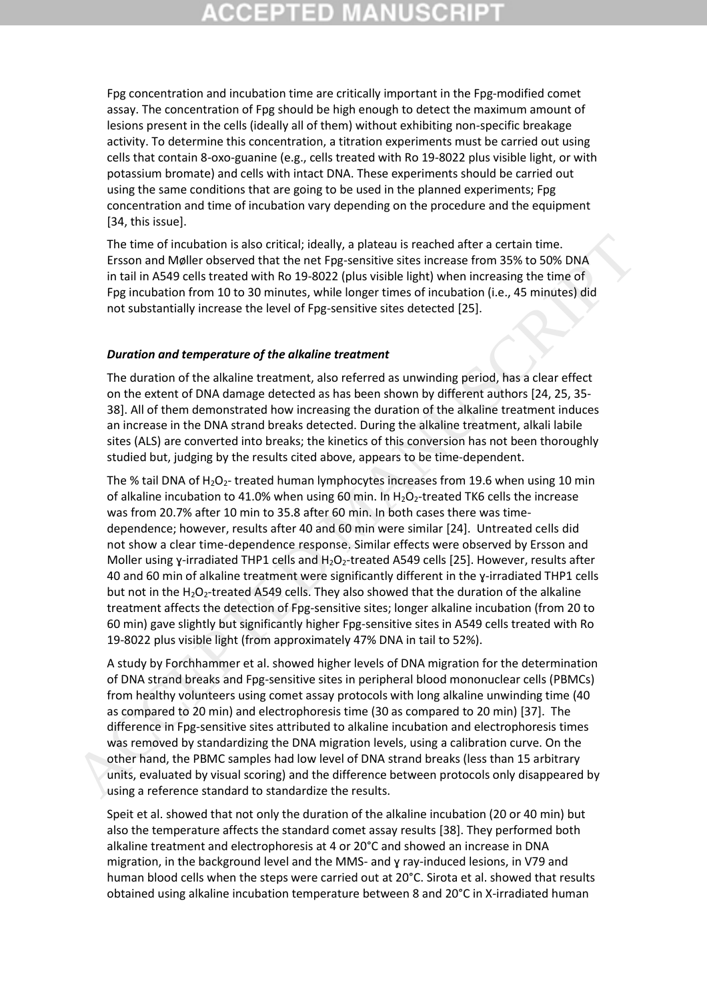## 22 T 2D

Fpg concentration and incubation time are critically important in the Fpg-modified comet assay. The concentration of Fpg should be high enough to detect the maximum amount of lesions present in the cells (ideally all of them) without exhibiting non-specific breakage activity. To determine this concentration, a titration experiments must be carried out using cells that contain 8-oxo-guanine (e.g., cells treated with Ro 19-8022 plus visible light, or with potassium bromate) and cells with intact DNA. These experiments should be carried out using the same conditions that are going to be used in the planned experiments; Fpg concentration and time of incubation vary depending on the procedure and the equipment [34, this issue].

The time of incubation is also critical; ideally, a plateau is reached after a certain time. Ersson and Møller observed that the net Fpg-sensitive sites increase from 35% to 50% DNA in tail in A549 cells treated with Ro 19-8022 (plus visible light) when increasing the time of Fpg incubation from 10 to 30 minutes, while longer times of incubation (i.e., 45 minutes) did not substantially increase the level of Fpg-sensitive sites detected [25].

#### *Duration and temperature of the alkaline treatment*

The duration of the alkaline treatment, also referred as unwinding period, has a clear effect on the extent of DNA damage detected as has been shown by different authors [24, 25, 35- 38]. All of them demonstrated how increasing the duration of the alkaline treatment induces an increase in the DNA strand breaks detected. During the alkaline treatment, alkali labile sites (ALS) are converted into breaks; the kinetics of this conversion has not been thoroughly studied but, judging by the results cited above, appears to be time-dependent.

The % tail DNA of H<sub>2</sub>O<sub>2</sub>- treated human lymphocytes increases from 19.6 when using 10 min of alkaline incubation to 41.0% when using 60 min. In  $H_2O_2$ -treated TK6 cells the increase was from 20.7% after 10 min to 35.8 after 60 min. In both cases there was timedependence; however, results after 40 and 60 min were similar [24]. Untreated cells did not show a clear time-dependence response. Similar effects were observed by Ersson and Moller using y-irradiated THP1 cells and  $H_2O_2$ -treated A549 cells [25]. However, results after 40 and 60 min of alkaline treatment were significantly different in the ɣ-irradiated THP1 cells but not in the H<sub>2</sub>O<sub>2</sub>-treated A549 cells. They also showed that the duration of the alkaline treatment affects the detection of Fpg-sensitive sites; longer alkaline incubation (from 20 to 60 min) gave slightly but significantly higher Fpg-sensitive sites in A549 cells treated with Ro 19-8022 plus visible light (from approximately 47% DNA in tail to 52%). The time of inculation is also critical, ideally, a pateau is reached after a cettain time.<br>
Erson and Mølter observed that the net Figg-sensitive sites increase from 35% to 50% DNA<br>
in tail in AS49 cells treated with Ro

A study by Forchhammer et al. showed higher levels of DNA migration for the determination of DNA strand breaks and Fpg-sensitive sites in peripheral blood mononuclear cells (PBMCs) from healthy volunteers using comet assay protocols with long alkaline unwinding time (40 as compared to 20 min) and electrophoresis time (30 as compared to 20 min) [37]. The difference in Fpg-sensitive sites attributed to alkaline incubation and electrophoresis times was removed by standardizing the DNA migration levels, using a calibration curve. On the other hand, the PBMC samples had low level of DNA strand breaks (less than 15 arbitrary units, evaluated by visual scoring) and the difference between protocols only disappeared by using a reference standard to standardize the results.

Speit et al. showed that not only the duration of the alkaline incubation (20 or 40 min) but also the temperature affects the standard comet assay results [38]. They performed both alkaline treatment and electrophoresis at 4 or 20°C and showed an increase in DNA migration, in the background level and the MMS- and ɣ ray-induced lesions, in V79 and human blood cells when the steps were carried out at 20°C. Sirota et al. showed that results obtained using alkaline incubation temperature between 8 and 20°C in X-irradiated human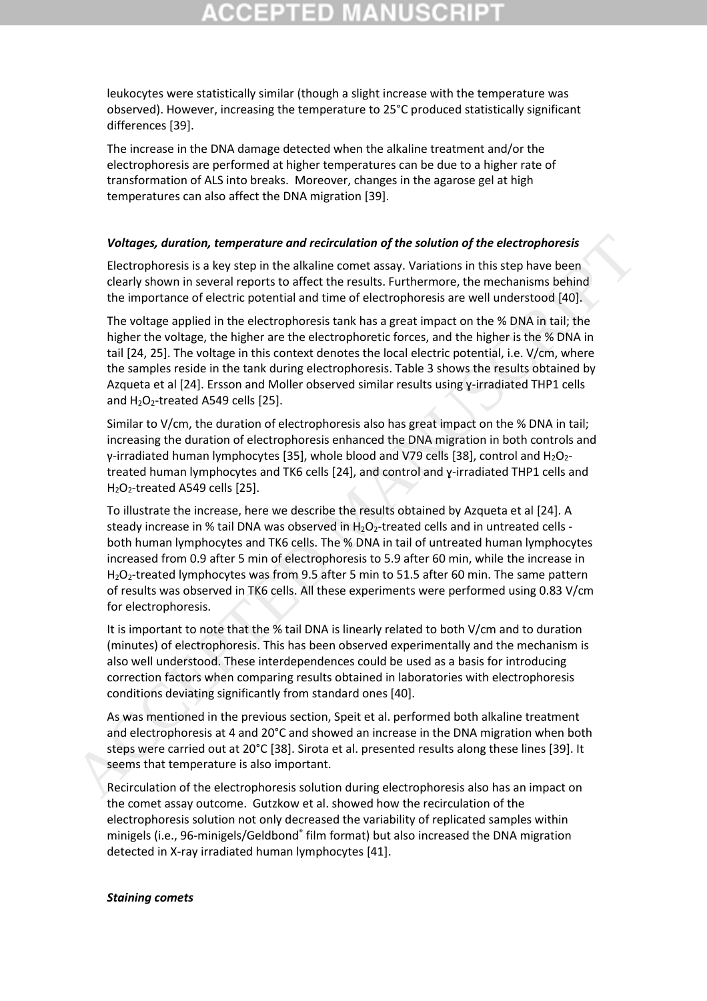# CEPTED

leukocytes were statistically similar (though a slight increase with the temperature was observed). However, increasing the temperature to 25°C produced statistically significant differences [39].

The increase in the DNA damage detected when the alkaline treatment and/or the electrophoresis are performed at higher temperatures can be due to a higher rate of transformation of ALS into breaks. Moreover, changes in the agarose gel at high temperatures can also affect the DNA migration [39].

#### *Voltages, duration, temperature and recirculation of the solution of the electrophoresis*

Electrophoresis is a key step in the alkaline comet assay. Variations in this step have been clearly shown in several reports to affect the results. Furthermore, the mechanisms behind the importance of electric potential and time of electrophoresis are well understood [40].

The voltage applied in the electrophoresis tank has a great impact on the % DNA in tail; the higher the voltage, the higher are the electrophoretic forces, and the higher is the % DNA in tail [24, 25]. The voltage in this context denotes the local electric potential, i.e. V/cm, where the samples reside in the tank during electrophoresis. Table 3 shows the results obtained by Azqueta et al [24]. Ersson and Moller observed similar results using y-irradiated THP1 cells and H<sub>2</sub>O<sub>2</sub>-treated A549 cells [25].

Similar to V/cm, the duration of electrophoresis also has great impact on the % DNA in tail; increasing the duration of electrophoresis enhanced the DNA migration in both controls and γ-irradiated human lymphocytes [35], whole blood and V79 cells [38], control and H<sub>2</sub>O<sub>2</sub>treated human lymphocytes and TK6 cells [24], and control and ɣ-irradiated THP1 cells and H2O2-treated A549 cells [25].

To illustrate the increase, here we describe the results obtained by Azqueta et al [24]. A steady increase in % tail DNA was observed in  $H_2O_2$ -treated cells and in untreated cells both human lymphocytes and TK6 cells. The % DNA in tail of untreated human lymphocytes increased from 0.9 after 5 min of electrophoresis to 5.9 after 60 min, while the increase in H<sub>2</sub>O<sub>2</sub>-treated lymphocytes was from 9.5 after 5 min to 51.5 after 60 min. The same pattern of results was observed in TK6 cells. All these experiments were performed using 0.83 V/cm for electrophoresis. Voltages, duration, temperature and recirculation of the solution of the electrophoresis<br>
Electrophoresis is a key step in the slicialize comet assay. Variations in this step have been<br>
detaily shown in several reports to

It is important to note that the % tail DNA is linearly related to both V/cm and to duration (minutes) of electrophoresis. This has been observed experimentally and the mechanism is also well understood. These interdependences could be used as a basis for introducing correction factors when comparing results obtained in laboratories with electrophoresis conditions deviating significantly from standard ones [40].

As was mentioned in the previous section, Speit et al. performed both alkaline treatment and electrophoresis at 4 and 20°C and showed an increase in the DNA migration when both steps were carried out at 20°C [38]. Sirota et al. presented results along these lines [39]. It seems that temperature is also important.

Recirculation of the electrophoresis solution during electrophoresis also has an impact on the comet assay outcome. Gutzkow et al. showed how the recirculation of the electrophoresis solution not only decreased the variability of replicated samples within minigels (i.e., 96-minigels/Geldbond® film format) but also increased the DNA migration detected in X-ray irradiated human lymphocytes [41].

#### *Staining comets*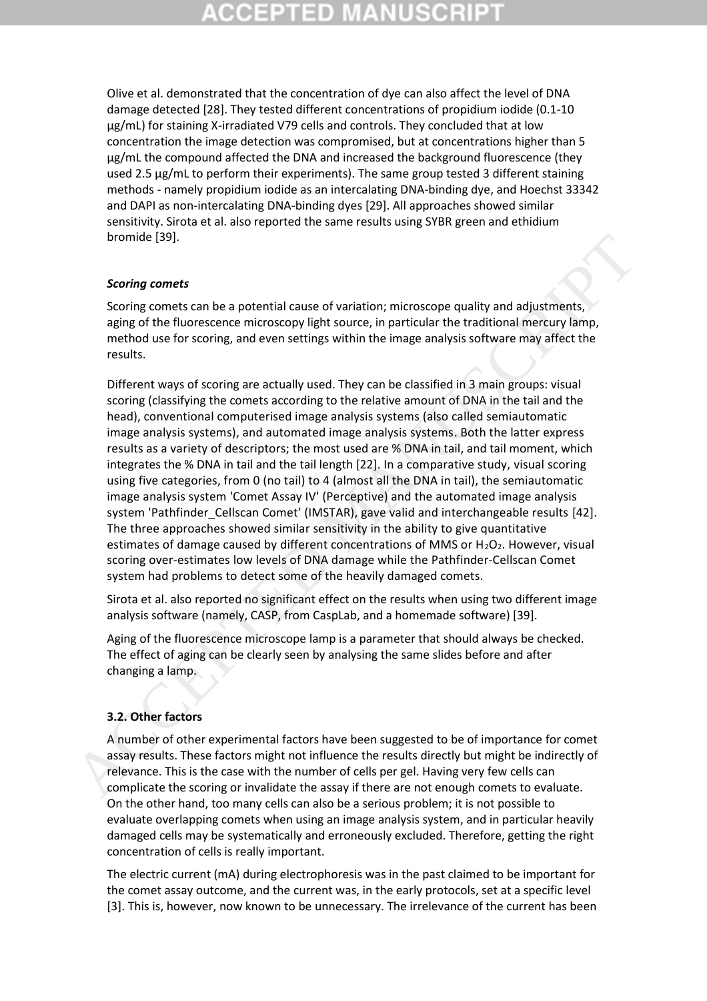Olive et al. demonstrated that the concentration of dye can also affect the level of DNA damage detected [28]. They tested different concentrations of propidium iodide (0.1-10 µg/mL) for staining X-irradiated V79 cells and controls. They concluded that at low concentration the image detection was compromised, but at concentrations higher than 5 µg/mL the compound affected the DNA and increased the background fluorescence (they used 2.5 µg/mL to perform their experiments). The same group tested 3 different staining methods - namely propidium iodide as an intercalating DNA-binding dye, and Hoechst 33342 and DAPI as non-intercalating DNA-binding dyes [29]. All approaches showed similar sensitivity. Sirota et al. also reported the same results using SYBR green and ethidium bromide [39].

#### *Scoring comets*

Scoring comets can be a potential cause of variation; microscope quality and adjustments, aging of the fluorescence microscopy light source, in particular the traditional mercury lamp, method use for scoring, and even settings within the image analysis software may affect the results.

Different ways of scoring are actually used. They can be classified in 3 main groups: visual scoring (classifying the comets according to the relative amount of DNA in the tail and the head), conventional computerised image analysis systems (also called semiautomatic image analysis systems), and automated image analysis systems. Both the latter express results as a variety of descriptors; the most used are % DNA in tail, and tail moment, which integrates the % DNA in tail and the tail length [22]. In a comparative study, visual scoring using five categories, from 0 (no tail) to 4 (almost all the DNA in tail), the semiautomatic image analysis system 'Comet Assay IV' (Perceptive) and the automated image analysis system 'Pathfinder\_Cellscan Comet' (IMSTAR), gave valid and interchangeable results [42]. The three approaches showed similar sensitivity in the ability to give quantitative estimates of damage caused by different concentrations of MMS or  $H_2O_2$ . However, visual scoring over-estimates low levels of DNA damage while the Pathfinder-Cellscan Comet system had problems to detect some of the heavily damaged comets. **Scoring comets**<br>
Scoring comets can be a potential cause of variation; microscope quality and adjustments,<br>
againg of the fluorescence microscopy light source, in particular the traditional mectury lamp,<br>
method use for

Sirota et al. also reported no significant effect on the results when using two different image analysis software (namely, CASP, from CaspLab, and a homemade software) [39].

Aging of the fluorescence microscope lamp is a parameter that should always be checked. The effect of aging can be clearly seen by analysing the same slides before and after changing a lamp.

#### **3.2. Other factors**

A number of other experimental factors have been suggested to be of importance for comet assay results. These factors might not influence the results directly but might be indirectly of relevance. This is the case with the number of cells per gel. Having very few cells can complicate the scoring or invalidate the assay if there are not enough comets to evaluate. On the other hand, too many cells can also be a serious problem; it is not possible to evaluate overlapping comets when using an image analysis system, and in particular heavily damaged cells may be systematically and erroneously excluded. Therefore, getting the right concentration of cells is really important.

The electric current (mA) during electrophoresis was in the past claimed to be important for the comet assay outcome, and the current was, in the early protocols, set at a specific level [3]. This is, however, now known to be unnecessary. The irrelevance of the current has been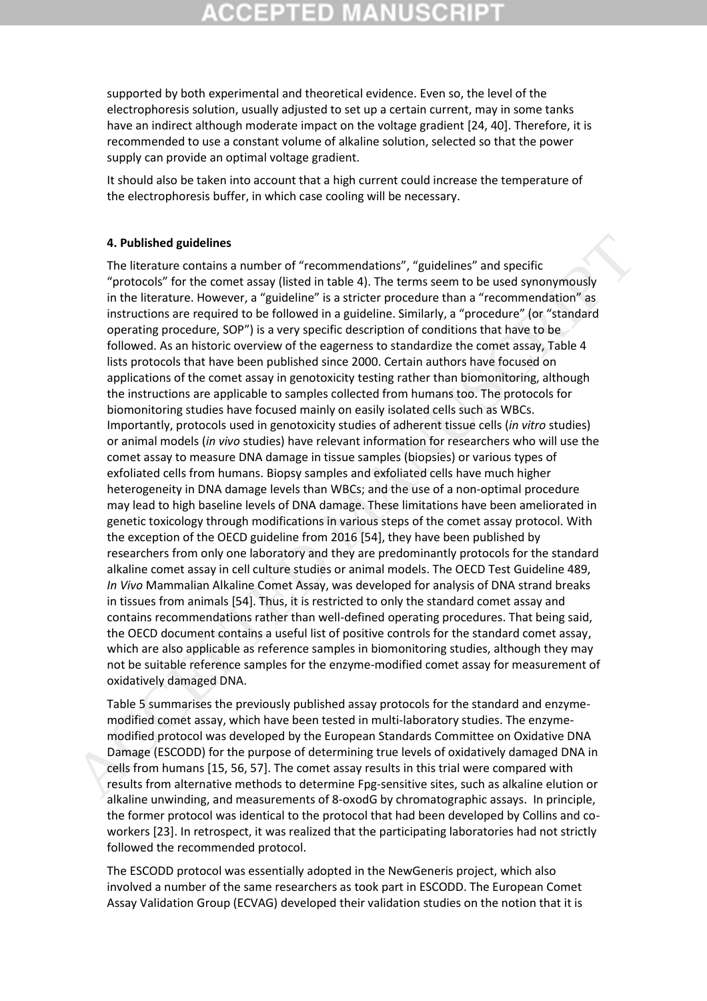# CEPTED

supported by both experimental and theoretical evidence. Even so, the level of the electrophoresis solution, usually adjusted to set up a certain current, may in some tanks have an indirect although moderate impact on the voltage gradient [24, 40]. Therefore, it is recommended to use a constant volume of alkaline solution, selected so that the power supply can provide an optimal voltage gradient.

It should also be taken into account that a high current could increase the temperature of the electrophoresis buffer, in which case cooling will be necessary.

### **4. Published guidelines**

The literature contains a number of "recommendations", "guidelines" and specific "protocols" for the comet assay (listed in table 4). The terms seem to be used synonymously in the literature. However, a "guideline" is a stricter procedure than a "recommendation" as instructions are required to be followed in a guideline. Similarly, a "procedure" (or "standard operating procedure, SOP") is a very specific description of conditions that have to be followed. As an historic overview of the eagerness to standardize the comet assay, Table 4 lists protocols that have been published since 2000. Certain authors have focused on applications of the comet assay in genotoxicity testing rather than biomonitoring, although the instructions are applicable to samples collected from humans too. The protocols for biomonitoring studies have focused mainly on easily isolated cells such as WBCs. Importantly, protocols used in genotoxicity studies of adherent tissue cells (*in vitro* studies) or animal models (*in vivo* studies) have relevant information for researchers who will use the comet assay to measure DNA damage in tissue samples (biopsies) or various types of exfoliated cells from humans. Biopsy samples and exfoliated cells have much higher heterogeneity in DNA damage levels than WBCs; and the use of a non-optimal procedure may lead to high baseline levels of DNA damage. These limitations have been ameliorated in genetic toxicology through modifications in various steps of the comet assay protocol. With the exception of the OECD guideline from 2016 [54], they have been published by researchers from only one laboratory and they are predominantly protocols for the standard alkaline comet assay in cell culture studies or animal models. The OECD Test Guideline 489, *In Vivo* Mammalian Alkaline Comet Assay, was developed for analysis of DNA strand breaks in tissues from animals [54]. Thus, it is restricted to only the standard comet assay and contains recommendations rather than well-defined operating procedures. That being said, the OECD document contains a useful list of positive controls for the standard comet assay, which are also applicable as reference samples in biomonitoring studies, although they may not be suitable reference samples for the enzyme-modified comet assay for measurement of oxidatively damaged DNA. **4. Published guidelines**<br>
The literature contins a number of "recommendations", "guidelines" and specific<br>
The literature contains an number of "recommendations", "guidelines" and specific<br>
"protocols" for the content as

Table 5 summarises the previously published assay protocols for the standard and enzymemodified comet assay, which have been tested in multi-laboratory studies. The enzymemodified protocol was developed by the European Standards Committee on Oxidative DNA Damage (ESCODD) for the purpose of determining true levels of oxidatively damaged DNA in cells from humans [15, 56, 57]. The comet assay results in this trial were compared with results from alternative methods to determine Fpg-sensitive sites, such as alkaline elution or alkaline unwinding, and measurements of 8-oxodG by chromatographic assays. In principle, the former protocol was identical to the protocol that had been developed by Collins and coworkers [23]. In retrospect, it was realized that the participating laboratories had not strictly followed the recommended protocol.

The ESCODD protocol was essentially adopted in the NewGeneris project, which also involved a number of the same researchers as took part in ESCODD. The European Comet Assay Validation Group (ECVAG) developed their validation studies on the notion that it is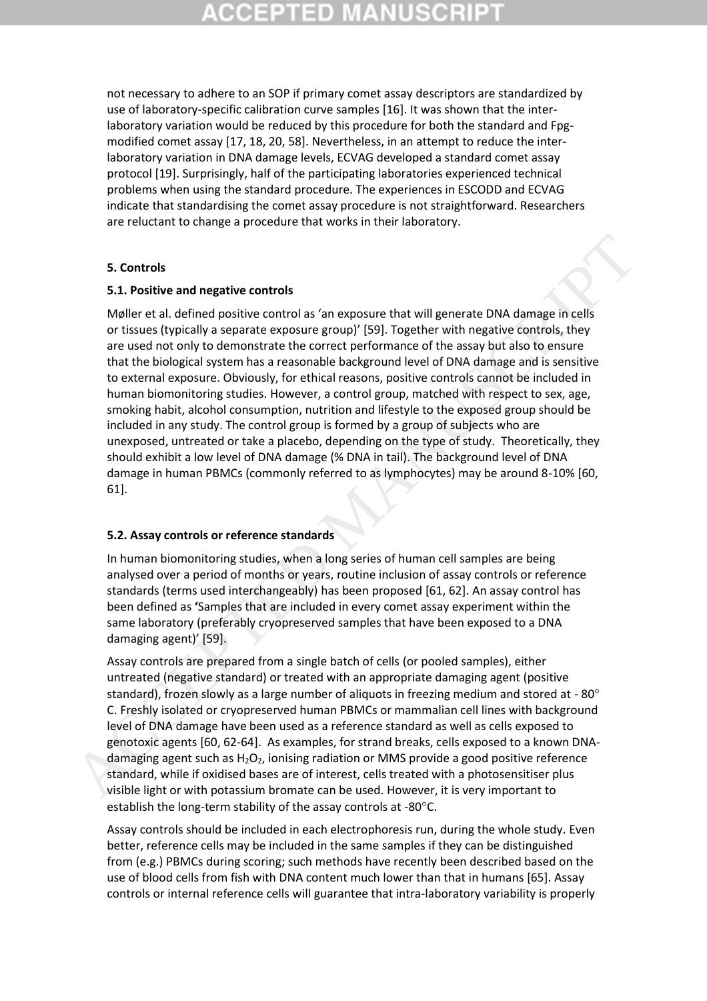## 12 TED

not necessary to adhere to an SOP if primary comet assay descriptors are standardized by use of laboratory-specific calibration curve samples [16]. It was shown that the interlaboratory variation would be reduced by this procedure for both the standard and Fpgmodified comet assay [17, 18, 20, 58]. Nevertheless, in an attempt to reduce the interlaboratory variation in DNA damage levels, ECVAG developed a standard comet assay protocol [19]. Surprisingly, half of the participating laboratories experienced technical problems when using the standard procedure. The experiences in ESCODD and ECVAG indicate that standardising the comet assay procedure is not straightforward. Researchers are reluctant to change a procedure that works in their laboratory.

### **5. Controls**

### **5.1. Positive and negative controls**

Møller et al. defined positive control as 'an exposure that will generate DNA damage in cells or tissues (typically a separate exposure group)' [59]. Together with negative controls, they are used not only to demonstrate the correct performance of the assay but also to ensure that the biological system has a reasonable background level of DNA damage and is sensitive to external exposure. Obviously, for ethical reasons, positive controls cannot be included in human biomonitoring studies. However, a control group, matched with respect to sex, age, smoking habit, alcohol consumption, nutrition and lifestyle to the exposed group should be included in any study. The control group is formed by a group of subjects who are unexposed, untreated or take a placebo, depending on the type of study. Theoretically, they should exhibit a low level of DNA damage (% DNA in tail). The background level of DNA damage in human PBMCs (commonly referred to as lymphocytes) may be around 8-10% [60, 61]. **5. Controls**<br> **5.1. Positive and negative controls**<br> **5.1. Positive and negative controls**<br> **Maller et al.** defined positive control as 'an exposure that will generate DNA damage in cells<br>
or tissues (typically a separat

### **5.2. Assay controls or reference standards**

In human biomonitoring studies, when a long series of human cell samples are being analysed over a period of months or years, routine inclusion of assay controls or reference standards (terms used interchangeably) has been proposed [61, 62]. An assay control has been defined as **'**Samples that are included in every comet assay experiment within the same laboratory (preferably cryopreserved samples that have been exposed to a DNA damaging agent)' [59].

Assay controls are prepared from a single batch of cells (or pooled samples), either untreated (negative standard) or treated with an appropriate damaging agent (positive standard), frozen slowly as a large number of aliquots in freezing medium and stored at - 80 $^{\circ}$ C. Freshly isolated or cryopreserved human PBMCs or mammalian cell lines with background level of DNA damage have been used as a reference standard as well as cells exposed to genotoxic agents [60, 62-64]. As examples, for strand breaks, cells exposed to a known DNAdamaging agent such as  $H_2O_2$ , ionising radiation or MMS provide a good positive reference standard, while if oxidised bases are of interest, cells treated with a photosensitiser plus visible light or with potassium bromate can be used. However, it is very important to establish the long-term stability of the assay controls at -80°C.

Assay controls should be included in each electrophoresis run, during the whole study. Even better, reference cells may be included in the same samples if they can be distinguished from (e.g.) PBMCs during scoring; such methods have recently been described based on the use of blood cells from fish with DNA content much lower than that in humans [65]. Assay controls or internal reference cells will guarantee that intra-laboratory variability is properly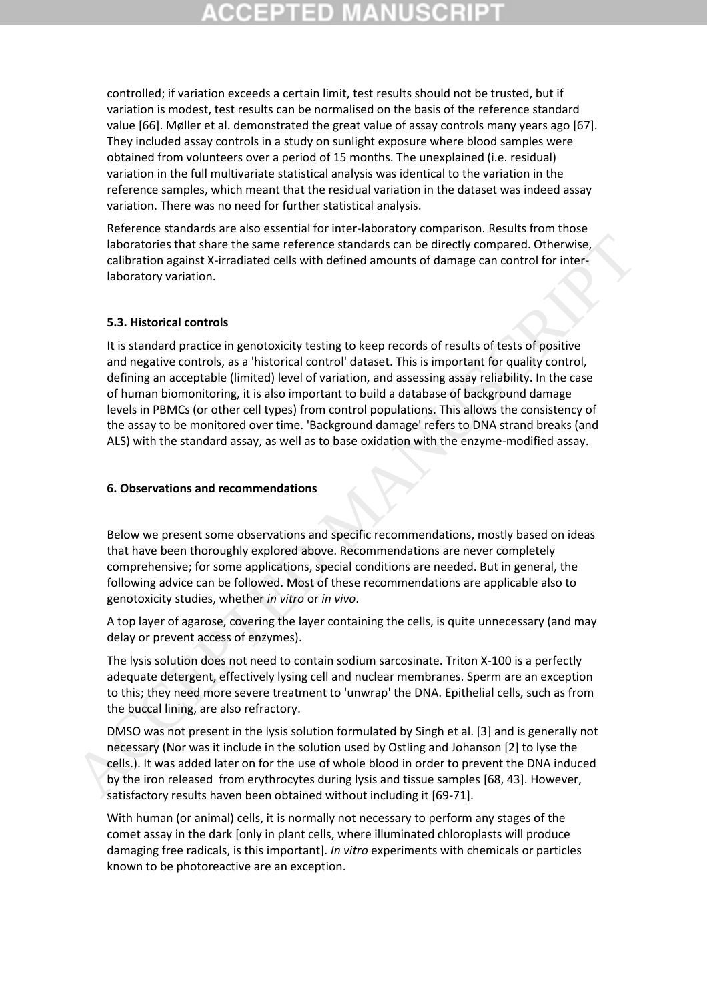controlled; if variation exceeds a certain limit, test results should not be trusted, but if variation is modest, test results can be normalised on the basis of the reference standard value [66]. Møller et al. demonstrated the great value of assay controls many years ago [67]. They included assay controls in a study on sunlight exposure where blood samples were obtained from volunteers over a period of 15 months. The unexplained (i.e. residual) variation in the full multivariate statistical analysis was identical to the variation in the reference samples, which meant that the residual variation in the dataset was indeed assay variation. There was no need for further statistical analysis.

Reference standards are also essential for inter-laboratory comparison. Results from those laboratories that share the same reference standards can be directly compared. Otherwise, calibration against X-irradiated cells with defined amounts of damage can control for interlaboratory variation.

### **5.3. Historical controls**

It is standard practice in genotoxicity testing to keep records of results of tests of positive and negative controls, as a 'historical control' dataset. This is important for quality control, defining an acceptable (limited) level of variation, and assessing assay reliability. In the case of human biomonitoring, it is also important to build a database of background damage levels in PBMCs (or other cell types) from control populations. This allows the consistency of the assay to be monitored over time. 'Background damage' refers to DNA strand breaks (and ALS) with the standard assay, as well as to base oxidation with the enzyme-modified assay. Iaboratories that share the same reference standards can be directly compared. Otherwise,<br>calibration against X-irradiated cells with defined amounts of damage can control for inter-<br>laboratory variation.<br>5.3. Historical c

#### **6. Observations and recommendations**

Below we present some observations and specific recommendations, mostly based on ideas that have been thoroughly explored above. Recommendations are never completely comprehensive; for some applications, special conditions are needed. But in general, the following advice can be followed. Most of these recommendations are applicable also to genotoxicity studies, whether *in vitro* or *in vivo*.

A top layer of agarose, covering the layer containing the cells, is quite unnecessary (and may delay or prevent access of enzymes).

The lysis solution does not need to contain sodium sarcosinate. Triton X-100 is a perfectly adequate detergent, effectively lysing cell and nuclear membranes. Sperm are an exception to this; they need more severe treatment to 'unwrap' the DNA. Epithelial cells, such as from the buccal lining, are also refractory.

DMSO was not present in the lysis solution formulated by Singh et al. [3] and is generally not necessary (Nor was it include in the solution used by Ostling and Johanson [2] to lyse the cells.). It was added later on for the use of whole blood in order to prevent the DNA induced by the iron released from erythrocytes during lysis and tissue samples [68, 43]. However, satisfactory results haven been obtained without including it [69-71].

With human (or animal) cells, it is normally not necessary to perform any stages of the comet assay in the dark [only in plant cells, where illuminated chloroplasts will produce damaging free radicals, is this important]. *In vitro* experiments with chemicals or particles known to be photoreactive are an exception.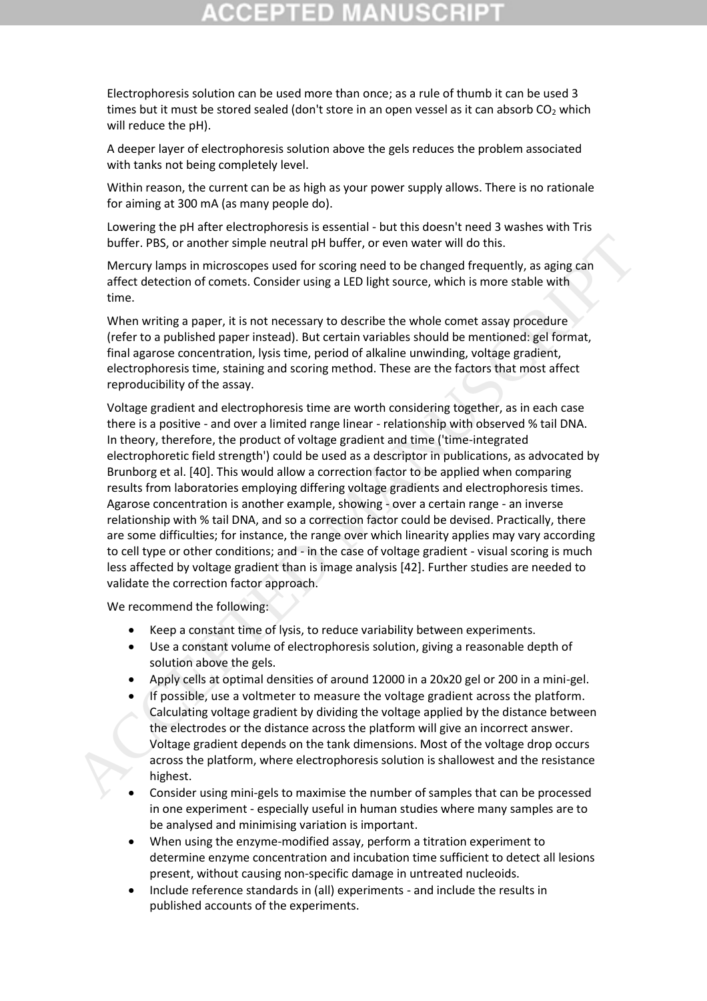# GEPTED

Electrophoresis solution can be used more than once; as a rule of thumb it can be used 3 times but it must be stored sealed (don't store in an open vessel as it can absorb  $CO<sub>2</sub>$  which will reduce the pH).

A deeper layer of electrophoresis solution above the gels reduces the problem associated with tanks not being completely level.

Within reason, the current can be as high as your power supply allows. There is no rationale for aiming at 300 mA (as many people do).

Lowering the pH after electrophoresis is essential - but this doesn't need 3 washes with Tris buffer. PBS, or another simple neutral pH buffer, or even water will do this.

Mercury lamps in microscopes used for scoring need to be changed frequently, as aging can affect detection of comets. Consider using a LED light source, which is more stable with time.

When writing a paper, it is not necessary to describe the whole comet assay procedure (refer to a published paper instead). But certain variables should be mentioned: gel format, final agarose concentration, lysis time, period of alkaline unwinding, voltage gradient, electrophoresis time, staining and scoring method. These are the factors that most affect reproducibility of the assay.

Voltage gradient and electrophoresis time are worth considering together, as in each case there is a positive - and over a limited range linear - relationship with observed % tail DNA. In theory, therefore, the product of voltage gradient and time ('time-integrated electrophoretic field strength') could be used as a descriptor in publications, as advocated by Brunborg et al. [40]. This would allow a correction factor to be applied when comparing results from laboratories employing differing voltage gradients and electrophoresis times. Agarose concentration is another example, showing - over a certain range - an inverse relationship with % tail DNA, and so a correction factor could be devised. Practically, there are some difficulties; for instance, the range over which linearity applies may vary according to cell type or other conditions; and - in the case of voltage gradient - visual scoring is much less affected by voltage gradient than is image analysis [42]. Further studies are needed to validate the correction factor approach. buffer. PBS, or another simple neutral pH buffer, or even water will do this.<br>
Mercury lamps in microscopes used for scoring need to be changed frequently, as aging can<br>
affect detection of consis. Consider using a LED lig

We recommend the following:

- Keep a constant time of lysis, to reduce variability between experiments.
- Use a constant volume of electrophoresis solution, giving a reasonable depth of solution above the gels.
- Apply cells at optimal densities of around 12000 in a 20x20 gel or 200 in a mini-gel.
- If possible, use a voltmeter to measure the voltage gradient across the platform. Calculating voltage gradient by dividing the voltage applied by the distance between the electrodes or the distance across the platform will give an incorrect answer. Voltage gradient depends on the tank dimensions. Most of the voltage drop occurs across the platform, where electrophoresis solution is shallowest and the resistance highest.
- Consider using mini-gels to maximise the number of samples that can be processed in one experiment - especially useful in human studies where many samples are to be analysed and minimising variation is important.
- When using the enzyme-modified assay, perform a titration experiment to determine enzyme concentration and incubation time sufficient to detect all lesions present, without causing non-specific damage in untreated nucleoids.
- Include reference standards in (all) experiments and include the results in published accounts of the experiments.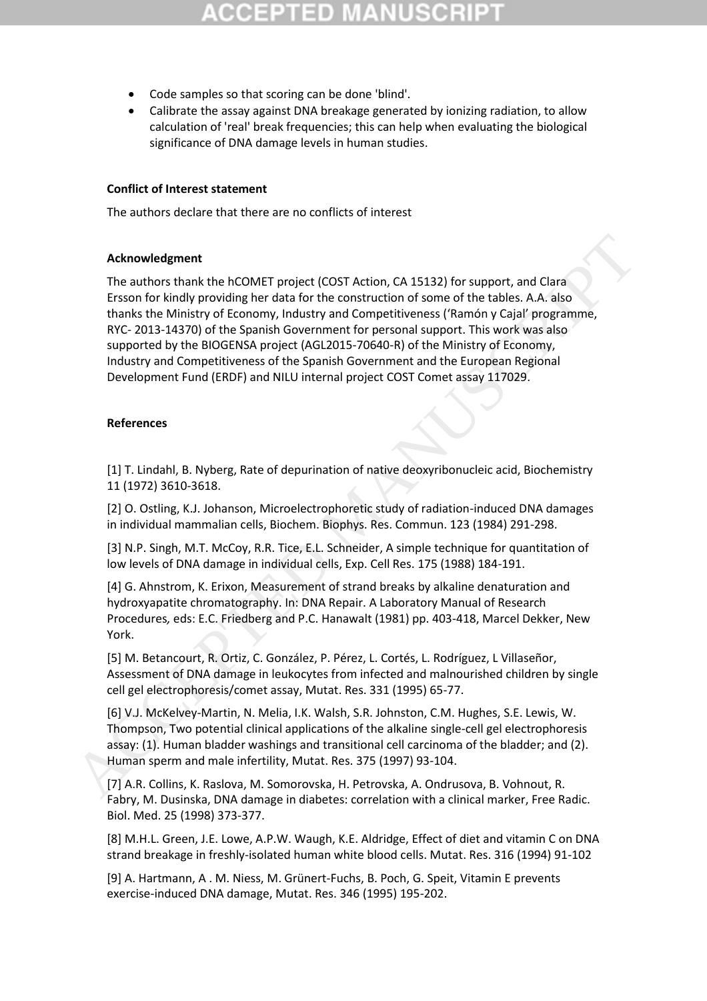- Code samples so that scoring can be done 'blind'.
- Calibrate the assay against DNA breakage generated by ionizing radiation, to allow calculation of 'real' break frequencies; this can help when evaluating the biological significance of DNA damage levels in human studies.

### **Conflict of Interest statement**

The authors declare that there are no conflicts of interest

### **Acknowledgment**

The authors thank the hCOMET project (COST Action, CA 15132) for support, and Clara Ersson for kindly providing her data for the construction of some of the tables. A.A. also thanks the Ministry of Economy, Industry and Competitiveness ('Ramón y Cajal' programme, RYC- 2013-14370) of the Spanish Government for personal support. This work was also supported by the BIOGENSA project (AGL2015-70640-R) of the Ministry of Economy, Industry and Competitiveness of the Spanish Government and the European Regional Development Fund (ERDF) and NILU internal project COST Comet assay 117029. Acknowledgment<br>
The authors thank the hCOMET project (COST Action, CA 15132) for support, and Clara<br>
Ersons for kindly providing her data for the construction of some of the tables. A.A. also<br>
thanks the Ministry of Econom

### **References**

[1] T. Lindahl, B. Nyberg, Rate of depurination of native deoxyribonucleic acid, Biochemistry 11 (1972) 3610-3618.

[2] O. Ostling, K.J. Johanson, Microelectrophoretic study of radiation-induced DNA damages in individual mammalian cells, Biochem. Biophys. Res. Commun. 123 (1984) 291-298.

[3] N.P. Singh, M.T. McCoy, R.R. Tice, E.L. Schneider, A simple technique for quantitation of low levels of DNA damage in individual cells, Exp. Cell Res. 175 (1988) 184-191.

[4] G. Ahnstrom, K. Erixon, Measurement of strand breaks by alkaline denaturation and hydroxyapatite chromatography. In: DNA Repair. A Laboratory Manual of Research Procedures*,* eds: E.C. Friedberg and P.C. Hanawalt (1981) pp. 403-418, Marcel Dekker, New York.

[5] M. Betancourt, R. Ortiz, C. González, P. Pérez, L. Cortés, L. Rodríguez, L Villaseñor, Assessment of DNA damage in leukocytes from infected and malnourished children by single cell gel electrophoresis/comet assay, Mutat. Res. 331 (1995) 65-77.

[6] V.J. McKelvey-Martin, N. Melia, I.K. Walsh, S.R. Johnston, C.M. Hughes, S.E. Lewis, W. Thompson, Two potential clinical applications of the alkaline single-cell gel electrophoresis assay: (1). Human bladder washings and transitional cell carcinoma of the bladder; and (2). Human sperm and male infertility, Mutat. Res. 375 (1997) 93-104.

[7] A.R. Collins, K. Raslova, M. Somorovska, H. Petrovska, A. Ondrusova, B. Vohnout, R. Fabry, M. Dusinska, DNA damage in diabetes: correlation with a clinical marker, Free Radic. Biol. Med. 25 (1998) 373-377.

[8] M.H.L. Green, J.E. Lowe, A.P.W. Waugh, K.E. Aldridge, Effect of diet and vitamin C on DNA strand breakage in freshly-isolated human white blood cells. Mutat. Res. 316 (1994) 91-102

[9] A. Hartmann, A . M. Niess, M. Grünert-Fuchs, B. Poch, G. Speit, Vitamin E prevents exercise-induced DNA damage, Mutat. Res. 346 (1995) 195-202.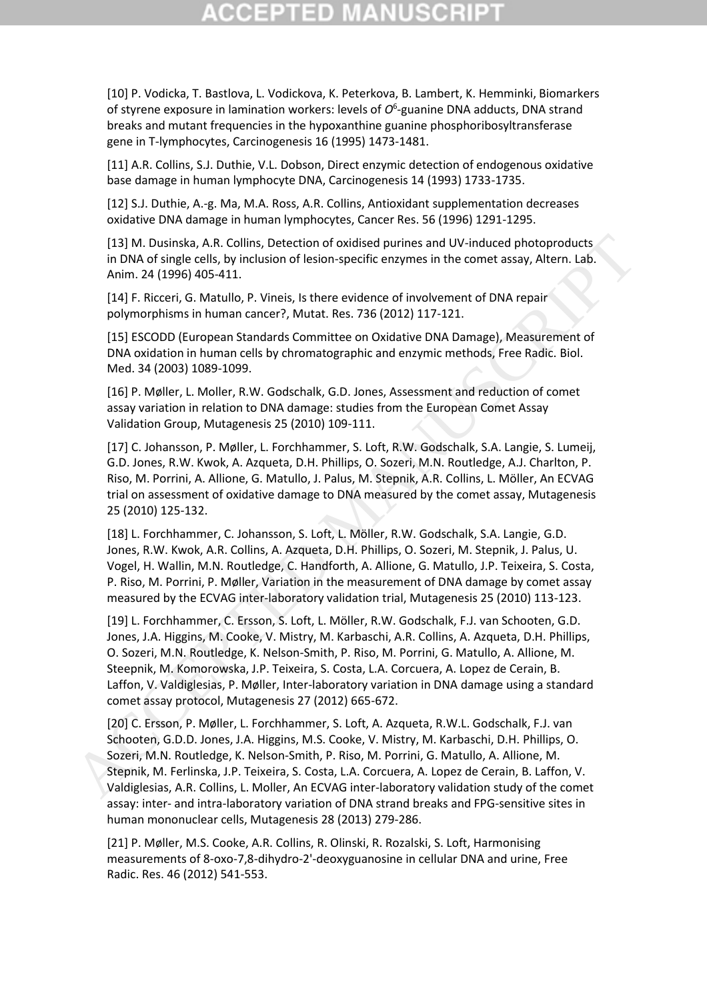## GEPTED

[10] P. Vodicka, T. Bastlova, L. Vodickova, K. Peterkova, B. Lambert, K. Hemminki, Biomarkers of styrene exposure in lamination workers: levels of *O* 6 -guanine DNA adducts, DNA strand breaks and mutant frequencies in the hypoxanthine guanine phosphoribosyltransferase gene in T-lymphocytes, Carcinogenesis 16 (1995) 1473-1481.

[11] A.R. Collins, S.J. Duthie, V.L. Dobson, Direct enzymic detection of endogenous oxidative base damage in human lymphocyte DNA, Carcinogenesis 14 (1993) 1733-1735.

[12] S.J. Duthie, A.-g. Ma, M.A. Ross, A.R. Collins, Antioxidant supplementation decreases oxidative DNA damage in human lymphocytes, Cancer Res. 56 (1996) 1291-1295.

[13] M. Dusinska, A.R. Collins, Detection of oxidised purines and UV-induced photoproducts in DNA of single cells, by inclusion of lesion-specific enzymes in the comet assay, Altern. Lab. Anim. 24 (1996) 405-411.

[14] F. Ricceri, G. Matullo, P. Vineis, Is there evidence of involvement of DNA repair polymorphisms in human cancer?, Mutat. Res. 736 (2012) 117-121.

[15] ESCODD (European Standards Committee on Oxidative DNA Damage), Measurement of DNA oxidation in human cells by chromatographic and enzymic methods, Free Radic. Biol. Med. 34 (2003) 1089-1099.

[16] P. Møller, L. Moller, R.W. Godschalk, G.D. Jones, Assessment and reduction of comet assay variation in relation to DNA damage: studies from the European Comet Assay Validation Group, Mutagenesis 25 (2010) 109-111.

[17] C. Johansson, P. Møller, L. Forchhammer, S. Loft, R.W. Godschalk, S.A. Langie, S. Lumeij, G.D. Jones, R.W. Kwok, A. Azqueta, D.H. Phillips, O. Sozeri, M.N. Routledge, A.J. Charlton, P. Riso, M. Porrini, A. Allione, G. Matullo, J. Palus, M. Stepnik, A.R. Collins, L. Möller, An ECVAG trial on assessment of oxidative damage to DNA measured by the comet assay, Mutagenesis 25 (2010) 125-132.

[18] L. Forchhammer, C. Johansson, S. Loft, L. Möller, R.W. Godschalk, S.A. Langie, G.D. Jones, R.W. Kwok, A.R. Collins, A. Azqueta, D.H. Phillips, O. Sozeri, M. Stepnik, J. Palus, U. Vogel, H. Wallin, M.N. Routledge, C. Handforth, A. Allione, G. Matullo, J.P. Teixeira, S. Costa, P. Riso, M. Porrini, P. Møller, Variation in the measurement of DNA damage by comet assay measured by the ECVAG inter-laboratory validation trial, Mutagenesis 25 (2010) 113-123.

[19] L. Forchhammer, C. Ersson, S. Loft, L. Möller, R.W. Godschalk, F.J. van Schooten, G.D. Jones, J.A. Higgins, M. Cooke, V. Mistry, M. Karbaschi, A.R. Collins, A. Azqueta, D.H. Phillips, O. Sozeri, M.N. Routledge, K. Nelson-Smith, P. Riso, M. Porrini, G. Matullo, A. Allione, M. Steepnik, M. Komorowska, J.P. Teixeira, S. Costa, L.A. Corcuera, A. Lopez de Cerain, B. Laffon, V. Valdiglesias, P. Møller, Inter-laboratory variation in DNA damage using a standard comet assay protocol, Mutagenesis 27 (2012) 665-672. (13) M. Dusinska, A.R. Collins, Detection of oxidised purines and UV-induced photoproducts<br>
in DNA of single cells, by inclusion of isions-specific enzymes in the comet assay, Altern. Lab.<br>
2.1 (1996) 405-411.<br>
114 F. Ric

[20] C. Ersson, P. Møller, L. Forchhammer, S. Loft, A. Azqueta, R.W.L. Godschalk, F.J. van Schooten, G.D.D. Jones, J.A. Higgins, M.S. Cooke, V. Mistry, M. Karbaschi, D.H. Phillips, O. Sozeri, M.N. Routledge, K. Nelson-Smith, P. Riso, M. Porrini, G. Matullo, A. Allione, M. Stepnik, M. Ferlinska, J.P. Teixeira, S. Costa, L.A. Corcuera, A. Lopez de Cerain, B. Laffon, V. Valdiglesias, A.R. Collins, L. Moller, An ECVAG inter-laboratory validation study of the comet assay: inter- and intra-laboratory variation of DNA strand breaks and FPG-sensitive sites in human mononuclear cells, Mutagenesis 28 (2013) 279-286.

[21] P. Møller, M.S. Cooke, A.R. Collins, R. Olinski, R. Rozalski, S. Loft, Harmonising measurements of 8-oxo-7,8-dihydro-2'-deoxyguanosine in cellular DNA and urine, Free Radic. Res. 46 (2012) 541-553.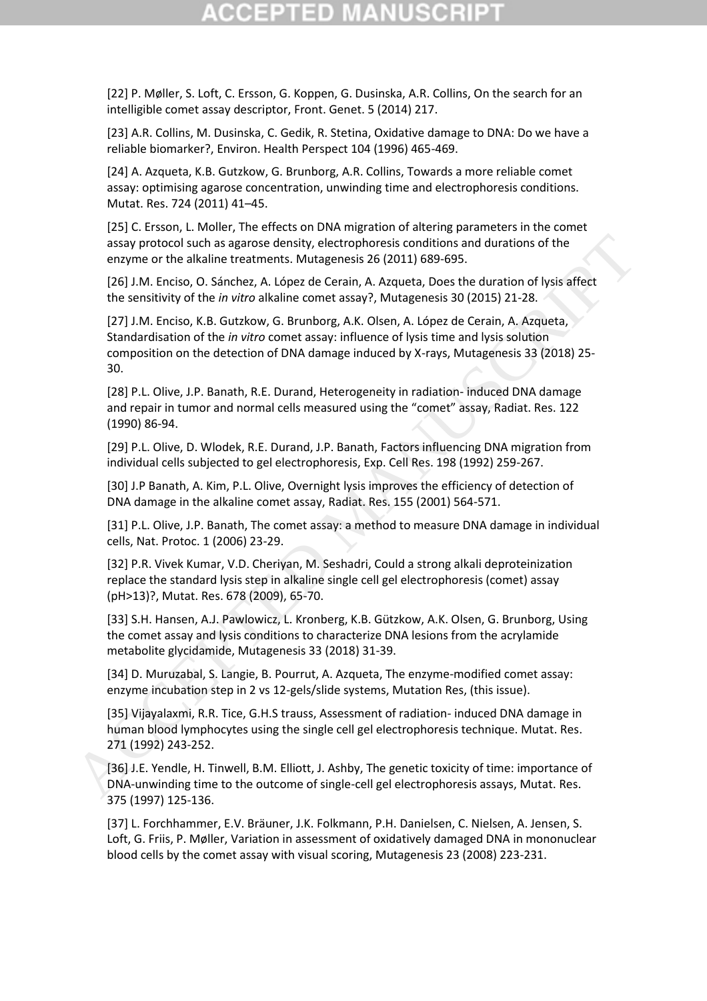## CEPTED

[22] P. Møller, S. Loft, C. Ersson, G. Koppen, G. Dusinska, A.R. Collins, On the search for an intelligible comet assay descriptor, Front. Genet. 5 (2014) 217.

[23] A.R. Collins, M. Dusinska, C. Gedik, R. Stetina, Oxidative damage to DNA: Do we have a reliable biomarker?, Environ. Health Perspect 104 (1996) 465-469.

[24] A. Azqueta, K.B. Gutzkow, G. Brunborg, A.R. Collins, Towards a more reliable comet assay: optimising agarose concentration, unwinding time and electrophoresis conditions. Mutat. Res. 724 (2011) 41–45.

[25] C. Ersson, L. Moller, The effects on DNA migration of altering parameters in the comet assay protocol such as agarose density, electrophoresis conditions and durations of the enzyme or the alkaline treatments. Mutagenesis 26 (2011) 689-695.

[26] J.M. Enciso, O. Sánchez, A. López de Cerain, A. Azqueta, Does the duration of lysis affect the sensitivity of the *in vitro* alkaline comet assay?, Mutagenesis 30 (2015) 21-28.

[27] J.M. Enciso, K.B. Gutzkow, G. Brunborg, A.K. Olsen, A. López de Cerain, A. Azqueta, Standardisation of the *in vitro* comet assay: influence of lysis time and lysis solution composition on the detection of DNA damage induced by X-rays, Mutagenesis 33 (2018) 25- 30. assy protocol such as a agrotoe density, electrophores conditions and durations of the<br>enery protocol such as a garoos density, electrophores conditions of the<br>126 J.M. Enciso, O. Sánchez, A. López de Cerain, A. Azqueta, D

[28] P.L. Olive, J.P. Banath, R.E. Durand, Heterogeneity in radiation- induced DNA damage and repair in tumor and normal cells measured using the "comet" assay, Radiat. Res. 122 (1990) 86-94.

[29] P.L. Olive, D. Wlodek, R.E. Durand, J.P. Banath, Factors influencing DNA migration from individual cells subjected to gel electrophoresis, Exp. Cell Res. 198 (1992) 259-267.

[30] J.P Banath, A. Kim, P.L. Olive, Overnight lysis improves the efficiency of detection of DNA damage in the alkaline comet assay, Radiat. Res. 155 (2001) 564-571.

[31] P.L. Olive, J.P. Banath, The comet assay: a method to measure DNA damage in individual cells, Nat. Protoc. 1 (2006) 23-29.

[32] P.R. Vivek Kumar, V.D. Cheriyan, M. Seshadri, Could a strong alkali deproteinization replace the standard lysis step in alkaline single cell gel electrophoresis (comet) assay (pH>13)?, Mutat. Res. 678 (2009), 65-70.

[33] S.H. Hansen, A.J. Pawlowicz, L. Kronberg, K.B. Gützkow, A.K. Olsen, G. Brunborg, Using the comet assay and lysis conditions to characterize DNA lesions from the acrylamide metabolite glycidamide, Mutagenesis 33 (2018) 31-39.

[34] D. Muruzabal, S. Langie, B. Pourrut, A. Azqueta, The enzyme-modified comet assay: enzyme incubation step in 2 vs 12-gels/slide systems, Mutation Res, (this issue).

[35] Vijayalaxmi, R.R. Tice, G.H.S trauss, Assessment of radiation- induced DNA damage in human blood lymphocytes using the single cell gel electrophoresis technique. Mutat. Res. 271 (1992) 243-252.

[36] J.E. Yendle, H. Tinwell, B.M. Elliott, J. Ashby, The genetic toxicity of time: importance of DNA-unwinding time to the outcome of single-cell gel electrophoresis assays, Mutat. Res. 375 (1997) 125-136.

[37] L. Forchhammer, E.V. Bräuner, J.K. Folkmann, P.H. Danielsen, C. Nielsen, A. Jensen, S. Loft, G. Friis, P. Møller, Variation in assessment of oxidatively damaged DNA in mononuclear blood cells by the comet assay with visual scoring, Mutagenesis 23 (2008) 223-231.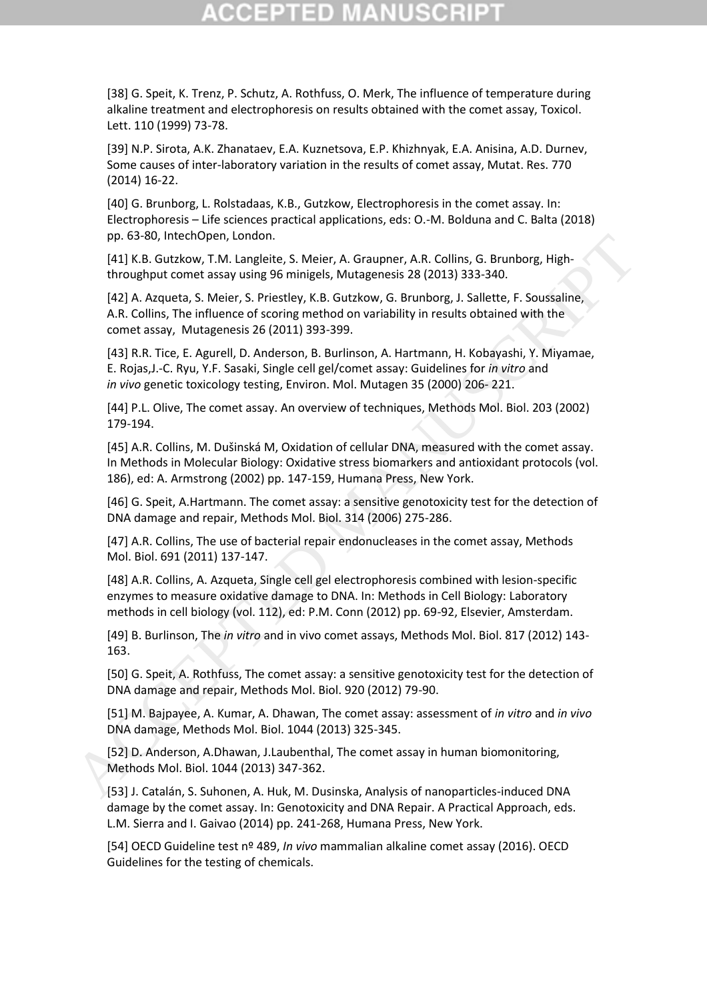[38] G. Speit, K. Trenz, P. Schutz, A. Rothfuss, O. Merk, The influence of temperature during alkaline treatment and electrophoresis on results obtained with the comet assay, Toxicol. Lett. 110 (1999) 73-78.

[39] N.P. Sirota, A.K. Zhanataev, E.A. Kuznetsova, E.P. Khizhnyak, E.A. Anisina, A.D. Durnev, Some causes of inter-laboratory variation in the results of comet assay, Mutat. Res. 770 (2014) 16-22.

[40] G. Brunborg, L. Rolstadaas, K.B., Gutzkow, Electrophoresis in the comet assay. In: Electrophoresis – Life sciences practical applications, eds: O.-M. Bolduna and C. Balta (2018) pp. 63-80, IntechOpen, London.

[41] K.B. Gutzkow, T.M. Langleite, S. Meier, A. Graupner, A.R. Collins, G. Brunborg, Highthroughput comet assay using 96 minigels, Mutagenesis 28 (2013) 333-340.

[42] A. Azqueta, S. Meier, S. Priestley, K.B. Gutzkow, G. Brunborg, J. Sallette, F. Soussaline, A.R. Collins, The influence of scoring method on variability in results obtained with the comet assay, Mutagenesis 26 (2011) 393-399.

[43] R.R. Tice, E. Agurell, D. Anderson, B. Burlinson, A. Hartmann, H. Kobayashi, Y. Miyamae, E. Rojas,J.-C. Ryu, Y.F. Sasaki, Single cell gel/comet assay: Guidelines for *in vitro* and *in vivo* genetic toxicology testing, Environ. Mol. Mutagen 35 (2000) 206- 221.

[44] P.L. Olive, The comet assay. An overview of techniques, Methods Mol. Biol. 203 (2002) 179-194.

[45] A.R. Collins, M. Dušinská M, Oxidation of cellular DNA, measured with the comet assay. In Methods in Molecular Biology: Oxidative stress biomarkers and antioxidant protocols (vol. 186), ed: A. Armstrong (2002) pp. 147-159, Humana Press, New York. pp. 5-5-50, meantopen, comotine, Readent, A. Graupner, A. R. Collins, G. Brunborg, High-<br>[41] K.B. Gutkhow, T.M. Langlelte, S. Meler, A. Graupner, A. R. Collins, G. Brunborg, High-<br>throughput comet assay using 96 minigels,

[46] G. Speit, A.Hartmann. The comet assay: a sensitive genotoxicity test for the detection of DNA damage and repair, Methods Mol. Biol. 314 (2006) 275-286.

[47] A.R. Collins, The use of bacterial repair endonucleases in the comet assay, Methods Mol. Biol. 691 (2011) 137-147.

[48] A.R. Collins, A. Azqueta, Single cell gel electrophoresis combined with lesion-specific enzymes to measure oxidative damage to DNA. In: Methods in Cell Biology: Laboratory methods in cell biology (vol. 112), ed: P.M. Conn (2012) pp. 69-92, Elsevier, Amsterdam.

[49] B. Burlinson, The *in vitro* and in vivo comet assays, Methods Mol. Biol. 817 (2012) 143- 163.

[50] G. Speit, A. Rothfuss, The comet assay: a sensitive genotoxicity test for the detection of DNA damage and repair, Methods Mol. Biol. 920 (2012) 79-90.

[51] M. Bajpayee, A. Kumar, A. Dhawan, The comet assay: assessment of *in vitro* and *in vivo* DNA damage, Methods Mol. Biol. 1044 (2013) 325-345.

[52] D. Anderson, A.Dhawan, J.Laubenthal, The comet assay in human biomonitoring, Methods Mol. Biol. 1044 (2013) 347-362.

[53] J. Catalán, S. Suhonen, A. Huk, M. Dusinska, Analysis of nanoparticles-induced DNA damage by the comet assay. In: Genotoxicity and DNA Repair. A Practical Approach, eds. L.M. Sierra and I. Gaivao (2014) pp. 241-268, Humana Press, New York.

[54] OECD Guideline test nº 489, *In vivo* mammalian alkaline comet assay (2016). OECD Guidelines for the testing of chemicals.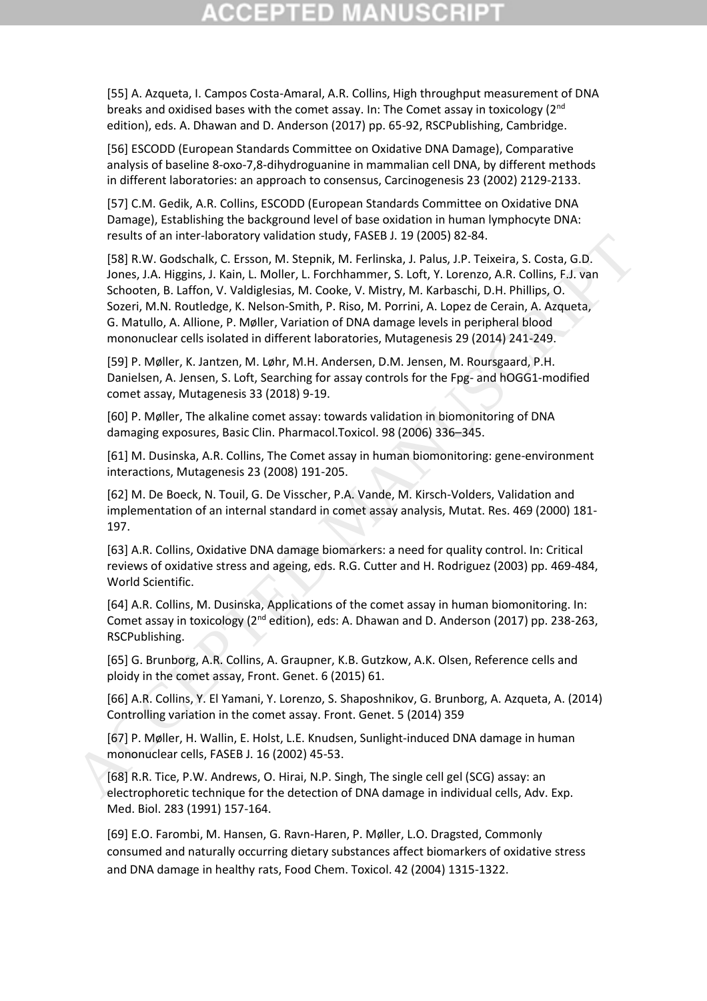[55] A. Azqueta, I. Campos Costa-Amaral, A.R. Collins, High throughput measurement of DNA breaks and oxidised bases with the comet assay. In: The Comet assay in toxicology (2<sup>nd</sup>) edition), eds. A. Dhawan and D. Anderson (2017) pp. 65-92, RSCPublishing, Cambridge.

[56] ESCODD (European Standards Committee on Oxidative DNA Damage), Comparative analysis of baseline 8-oxo-7,8-dihydroguanine in mammalian cell DNA, by different methods in different laboratories: an approach to consensus, Carcinogenesis 23 (2002) 2129-2133.

[57] C.M. Gedik, A.R. Collins, ESCODD (European Standards Committee on Oxidative DNA Damage), Establishing the background level of base oxidation in human lymphocyte DNA: results of an inter-laboratory validation study, FASEB J. 19 (2005) 82-84.

[58] R.W. Godschalk, C. Ersson, M. Stepnik, M. Ferlinska, J. Palus, J.P. Teixeira, S. Costa, G.D. Jones, J.A. Higgins, J. Kain, L. Moller, L. Forchhammer, S. Loft, Y. Lorenzo, A.R. Collins, F.J. van Schooten, B. Laffon, V. Valdiglesias, M. Cooke, V. Mistry, M. Karbaschi, D.H. Phillips, O. Sozeri, M.N. Routledge, K. Nelson-Smith, P. Riso, M. Porrini, A. Lopez de Cerain, A. Azqueta, G. Matullo, A. Allione, P. Møller, Variation of DNA damage levels in peripheral blood mononuclear cells isolated in different laboratories, Mutagenesis 29 (2014) 241-249. results or an inter-atoriation studients. The Jouly Present, 19 (1005) 25-24.<br>
[58] R.W. Godschalk, C. Ersson, M. Stepnik, M. Ferlinska, J. Palus, J. P. Teixeira, S. Costa, G.D.<br>
Jones, J.A. Higgins, J. Kain, L. Mollele, L

[59] P. Møller, K. Jantzen, M. Løhr, M.H. Andersen, D.M. Jensen, M. Roursgaard, P.H. Danielsen, A. Jensen, S. Loft, Searching for assay controls for the Fpg- and hOGG1-modified comet assay, Mutagenesis 33 (2018) 9-19.

[60] P. Møller, The alkaline comet assay: towards validation in biomonitoring of DNA damaging exposures, Basic Clin. Pharmacol.Toxicol. 98 (2006) 336–345.

[61] M. Dusinska, A.R. Collins, The Comet assay in human biomonitoring: gene-environment interactions, Mutagenesis 23 (2008) 191-205.

[62] M. De Boeck, N. Touil, G. De Visscher, P.A. Vande, M. Kirsch-Volders, Validation and implementation of an internal standard in comet assay analysis, Mutat. Res. 469 (2000) 181- 197.

[63] A.R. Collins, Oxidative DNA damage biomarkers: a need for quality control. In: Critical reviews of oxidative stress and ageing, eds. R.G. Cutter and H. Rodriguez (2003) pp. 469-484, World Scientific.

[64] A.R. Collins, M. Dusinska, Applications of the comet assay in human biomonitoring. In: Comet assay in toxicology ( $2<sup>nd</sup>$  edition), eds: A. Dhawan and D. Anderson (2017) pp. 238-263, RSCPublishing.

[65] G. Brunborg, A.R. Collins, A. Graupner, K.B. Gutzkow, A.K. Olsen, Reference cells and ploidy in the comet assay, Front. Genet. 6 (2015) 61.

[66] A.R. Collins, Y. El Yamani, Y. Lorenzo, S. Shaposhnikov, G. Brunborg, A. Azqueta, A. (2014) Controlling variation in the comet assay. Front. Genet. 5 (2014) 359

[67] P. Møller, H. Wallin, E. Holst, L.E. Knudsen, Sunlight-induced DNA damage in human mononuclear cells, FASEB J. 16 (2002) 45-53.

[68] R.R. Tice, P.W. Andrews, O. Hirai, N.P. Singh, The single cell gel (SCG) assay: an electrophoretic technique for the detection of DNA damage in individual cells, Adv. Exp. Med. Biol. 283 (1991) 157-164.

[69] E.O. Farombi, M. Hansen, G. Ravn-Haren, P. Møller, L.O. Dragsted, Commonly consumed and naturally occurring dietary substances affect biomarkers of oxidative stress and DNA damage in healthy rats, Food Chem. Toxicol. 42 (2004) 1315-1322.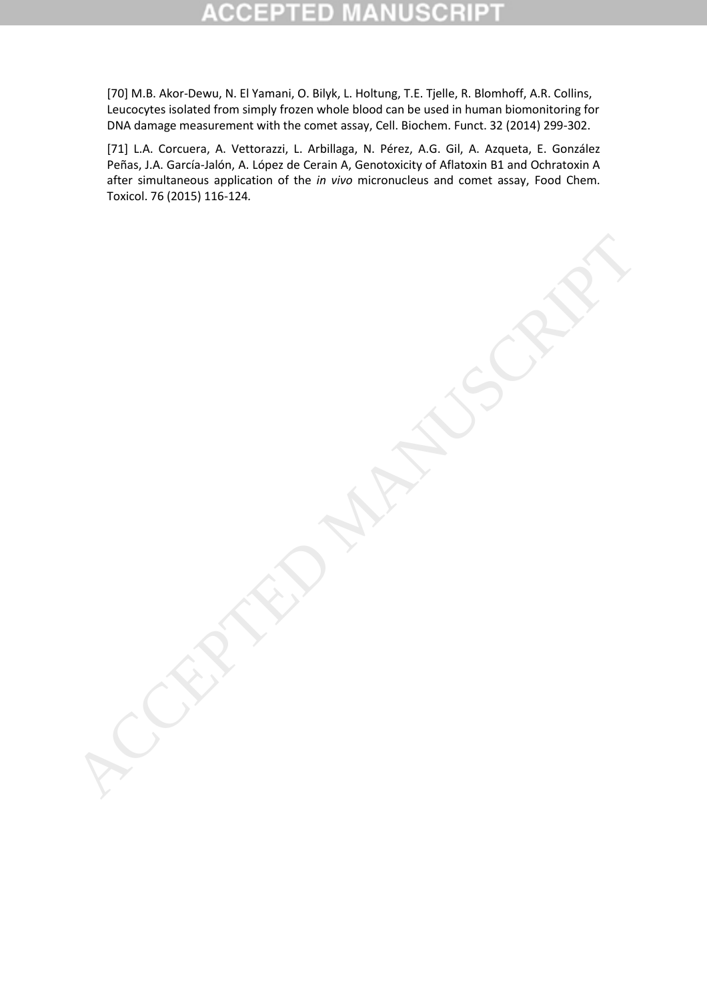## D

[70] M.B. Akor-Dewu, N. El Yamani, O. Bilyk, L. Holtung, T.E. Tjelle, R. Blomhoff, A.R. Collins, Leucocytes isolated from simply frozen whole blood can be used in human biomonitoring for DNA damage measurement with the comet assay, Cell. Biochem. Funct. 32 (2014) 299-302.

[71] L.A. Corcuera, A. Vettorazzi, L. Arbillaga, N. Pérez, A.G. Gil, A. Azqueta, E. González Peñas, J.A. García-Jalón, A. López de Cerain A, Genotoxicity of Aflatoxin B1 and Ochratoxin A after simultaneous application of the *in vivo* micronucleus and comet assay, Food Chem. Toxicol. 76 (2015) 116-124*.*

ACCEPTED MANUSCRIPT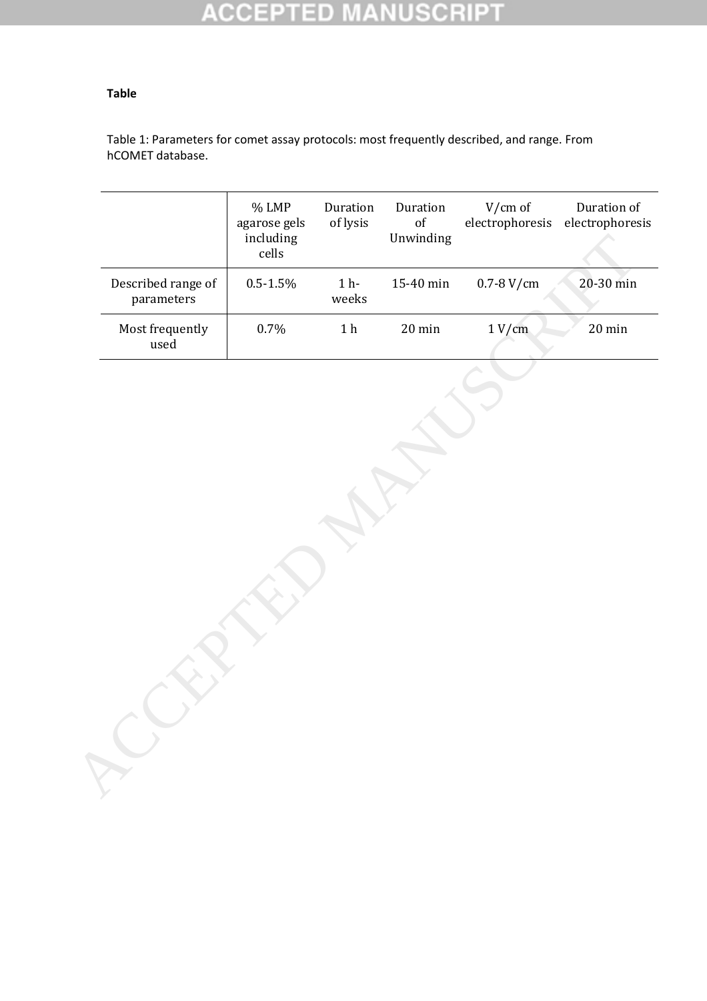#### SCRIPT ED CCEPTI  $\hbar$

### **Table**

Table 1: Parameters for comet assay protocols: most frequently described, and range. From hCOMET database.

|                                  | $\%$ LMP<br>agarose gels<br>including<br>cells | Duration<br>of lysis       | Duration<br>of<br>Unwinding | V/cm of<br>electrophoresis | Duration of<br>electrophoresis |
|----------------------------------|------------------------------------------------|----------------------------|-----------------------------|----------------------------|--------------------------------|
| Described range of<br>parameters | $0.5\mbox{-}1.5\%$                             | $1h$<br>weeks              | 15-40 min                   | $0.7 - 8$ V/cm             | 20-30 min                      |
| Most frequently<br>used          | 0.7%                                           | $1\,\ensuremath{\text{h}}$ | $20 \text{ min}$            | 1 V/cm                     | $20 \text{ min}$               |
|                                  |                                                |                            |                             |                            |                                |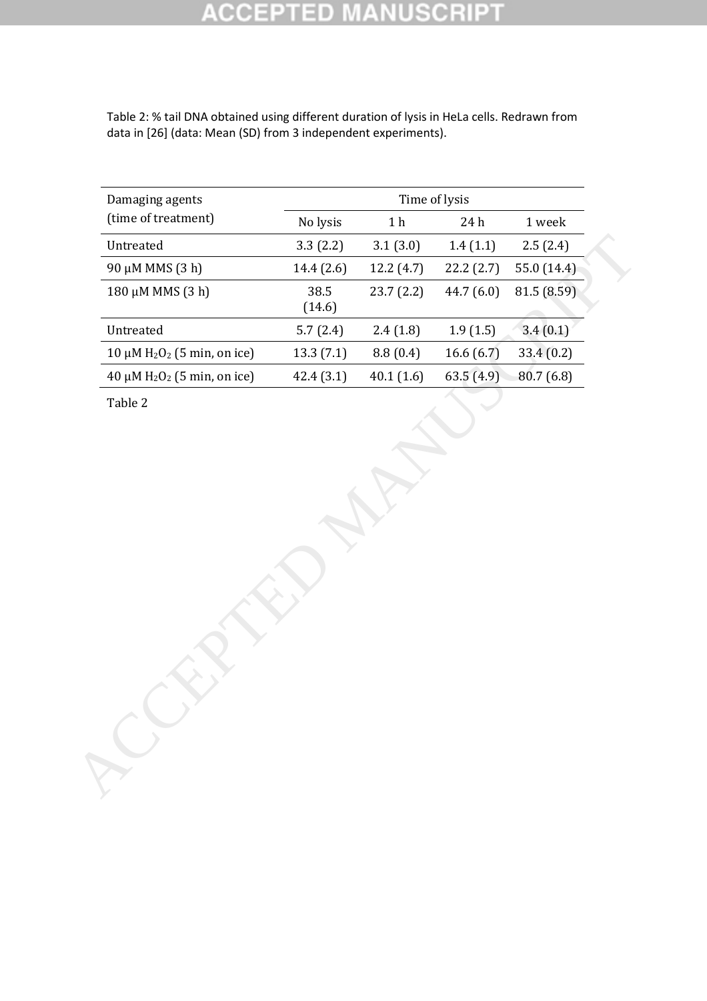#### ED B E CC C

Table 2: % tail DNA obtained using different duration of lysis in HeLa cells. Redrawn from data in [26] (data: Mean (SD) from 3 independent experiments).

| No lysis<br>$1\ \mathrm{h}$<br>$24\,\ensuremath{\mbox{\textit{h}}}$<br>1 week<br>3.1(3.0)<br>1.4(1.1)<br>2.5(2.4)<br>3.3(2.2)<br>14.4(2.6)<br>12.2(4.7)<br>22.2(2.7)<br>55.0 (14.4)<br>38.5<br>23.7(2.2)<br>44.7 (6.0)<br>81.5 (8.59)<br>(14.6)<br>3.4(0.1)<br>5.7(2.4)<br>2.4(1.8)<br>1.9(1.5)<br>16.6(6.7)<br>13.3(7.1)<br>8.8(0.4)<br>33.4 (0.2)<br>63.5(4.9)<br>80.7(6.8)<br>42.4(3.1)<br>40.1(1.6)<br>Table 2 |                                   | Time of lysis |  |  |  |
|--------------------------------------------------------------------------------------------------------------------------------------------------------------------------------------------------------------------------------------------------------------------------------------------------------------------------------------------------------------------------------------------------------------------|-----------------------------------|---------------|--|--|--|
|                                                                                                                                                                                                                                                                                                                                                                                                                    | (time of treatment)               |               |  |  |  |
|                                                                                                                                                                                                                                                                                                                                                                                                                    | Untreated                         |               |  |  |  |
|                                                                                                                                                                                                                                                                                                                                                                                                                    | 90 μM MMS (3 h)                   |               |  |  |  |
|                                                                                                                                                                                                                                                                                                                                                                                                                    | 180 μM MMS (3 h)                  |               |  |  |  |
|                                                                                                                                                                                                                                                                                                                                                                                                                    | Untreated                         |               |  |  |  |
|                                                                                                                                                                                                                                                                                                                                                                                                                    | 10 μM $H_2O_2$ (5 min, on ice)    |               |  |  |  |
|                                                                                                                                                                                                                                                                                                                                                                                                                    | $40 \mu M H_2O_2$ (5 min, on ice) |               |  |  |  |
|                                                                                                                                                                                                                                                                                                                                                                                                                    |                                   |               |  |  |  |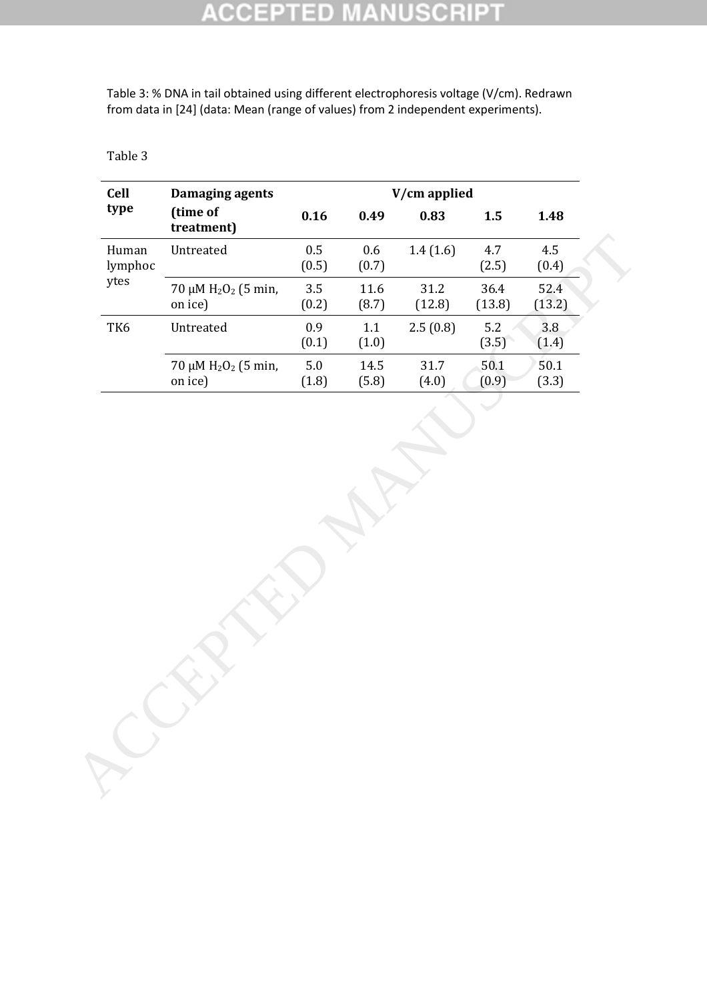#### 10 E CC ۰

Table 3: % DNA in tail obtained using different electrophoresis voltage (V/cm). Redrawn from data in [24] (data: Mean (range of values) from 2 independent experiments).

|                  | <b>Damaging agents</b>                                 | V/cm applied     |               |                |                |                |
|------------------|--------------------------------------------------------|------------------|---------------|----------------|----------------|----------------|
| type             | (time of<br>treatment)                                 | 0.16             | 0.49          | 0.83           | 1.5            | 1.48           |
| Human<br>lymphoc | Untreated                                              | $0.5\,$<br>(0.5) | 0.6<br>(0.7)  | 1.4(1.6)       | 4.7<br>(2.5)   | 4.5<br>(0.4)   |
| ytes             | 70 μM H <sub>2</sub> O <sub>2</sub> (5 min,<br>on ice) | 3.5<br>(0.2)     | 11.6<br>(8.7) | 31.2<br>(12.8) | 36.4<br>(13.8) | 52.4<br>(13.2) |
| TK <sub>6</sub>  | Untreated                                              | 0.9<br>(0.1)     | 1.1<br>(1.0)  | 2.5(0.8)       | 5.2<br>(3.5)   | 3.8<br>(1.4)   |
|                  | 70 μM H <sub>2</sub> O <sub>2</sub> (5 min,<br>on ice) | 5.0<br>(1.8)     | 14.5<br>(5.8) | 31.7<br>(4.0)  | 50.1<br>(0.9)  | 50.1<br>(3.3)  |
|                  |                                                        |                  |               |                |                |                |

## Table 3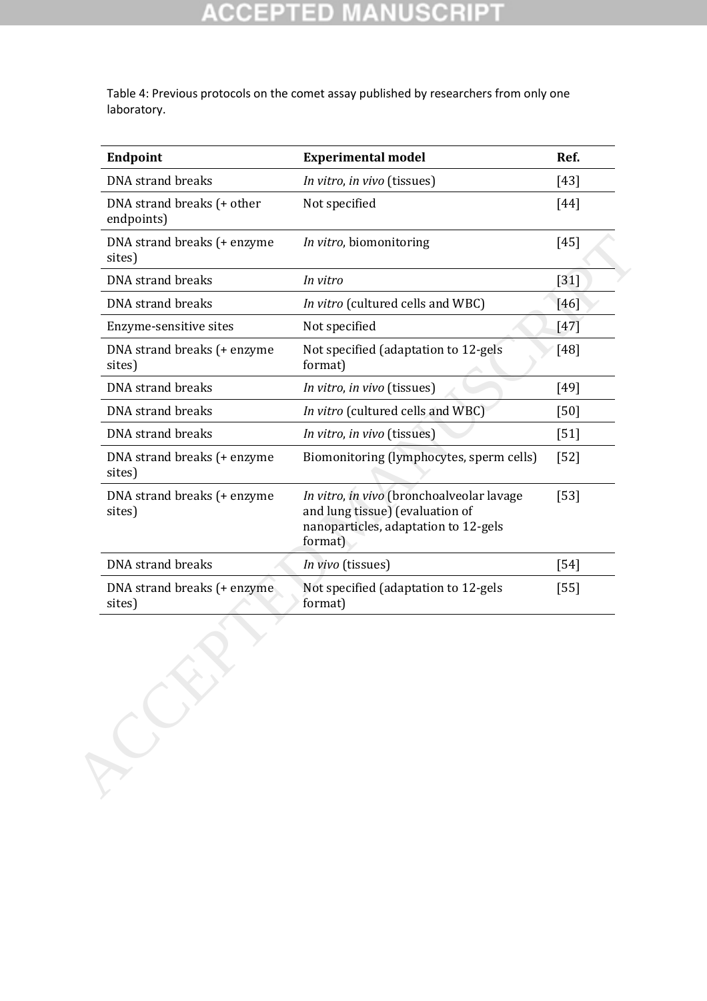# **ACCEPTED MANUSCRIPT**

Table 4: Previous protocols on the comet assay published by researchers from only one laboratory.

| Endpoint                                 | <b>Experimental model</b>                                                                                                       | Ref.   |
|------------------------------------------|---------------------------------------------------------------------------------------------------------------------------------|--------|
| <b>DNA</b> strand breaks                 | In vitro, in vivo (tissues)                                                                                                     | $[43]$ |
| DNA strand breaks (+ other<br>endpoints) | Not specified                                                                                                                   | [44]   |
| DNA strand breaks (+ enzyme<br>sites)    | In vitro, biomonitoring                                                                                                         | $[45]$ |
| <b>DNA</b> strand breaks                 | In vitro                                                                                                                        | $[31]$ |
| <b>DNA</b> strand breaks                 | In vitro (cultured cells and WBC)                                                                                               | [46]   |
| Enzyme-sensitive sites                   | Not specified                                                                                                                   | $[47]$ |
| DNA strand breaks (+ enzyme<br>sites)    | Not specified (adaptation to 12-gels<br>format)                                                                                 | $[48]$ |
| <b>DNA</b> strand breaks                 | In vitro, in vivo (tissues)                                                                                                     | $[49]$ |
| <b>DNA</b> strand breaks                 | In vitro (cultured cells and WBC)                                                                                               | $[50]$ |
| <b>DNA</b> strand breaks                 | In vitro, in vivo (tissues)                                                                                                     | $[51]$ |
| DNA strand breaks (+ enzyme<br>sites)    | Biomonitoring (lymphocytes, sperm cells)                                                                                        | $[52]$ |
| DNA strand breaks (+ enzyme<br>sites)    | In vitro, in vivo (bronchoalveolar lavage<br>and lung tissue) (evaluation of<br>nanoparticles, adaptation to 12-gels<br>format) | $[53]$ |
| <b>DNA</b> strand breaks                 | In vivo (tissues)                                                                                                               | $[54]$ |
| DNA strand breaks (+ enzyme)<br>sites)   | Not specified (adaptation to 12-gels<br>format)                                                                                 | $[55]$ |
|                                          |                                                                                                                                 |        |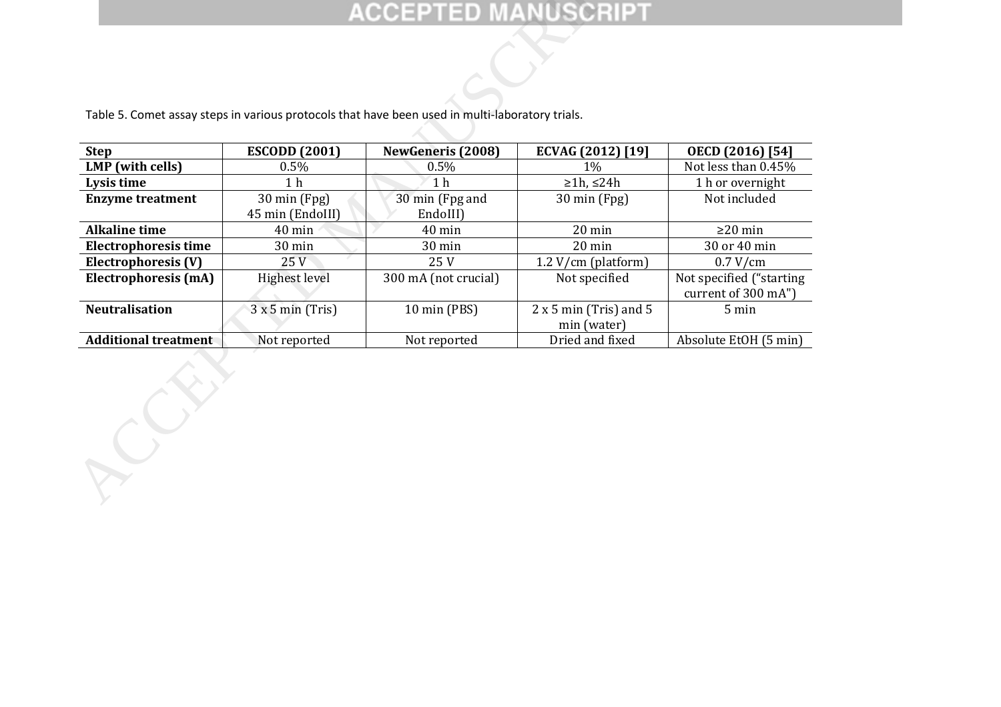|                             |                                  | <b>ACCEPTED MANUSCRIPT</b>                                                                      |                                                |                                                 |
|-----------------------------|----------------------------------|-------------------------------------------------------------------------------------------------|------------------------------------------------|-------------------------------------------------|
|                             |                                  |                                                                                                 |                                                |                                                 |
|                             |                                  |                                                                                                 |                                                |                                                 |
|                             |                                  |                                                                                                 |                                                |                                                 |
|                             |                                  |                                                                                                 |                                                |                                                 |
|                             |                                  | Table 5. Comet assay steps in various protocols that have been used in multi-laboratory trials. |                                                |                                                 |
|                             |                                  |                                                                                                 |                                                |                                                 |
| <b>Step</b>                 | <b>ESCODD (2001)</b>             | <b>NewGeneris (2008)</b>                                                                        | ECVAG (2012) [19]                              | OECD (2016) [54]                                |
| LMP (with cells)            | 0.5%                             | 0.5%                                                                                            | 1%                                             | Not less than 0.45%                             |
| Lysis time                  | 1 <sub>h</sub>                   | 1 h                                                                                             | ≥1h, ≤24h                                      | 1 h or overnight                                |
| <b>Enzyme treatment</b>     | 30 min (Fpg)<br>45 min (EndoIII) | 30 min (Fpg and<br>EndoIII)                                                                     | 30 min (Fpg)                                   | Not included                                    |
| <b>Alkaline time</b>        | 40 min                           | 40 min                                                                                          | 20 min                                         | $\geq$ 20 min                                   |
| <b>Electrophoresis time</b> | 30 min                           | 30 min                                                                                          | 20 min                                         | 30 or 40 min                                    |
| Electrophoresis (V)         | 25 <sub>V</sub>                  | 25 V                                                                                            | 1.2 V/cm (platform)                            | 0.7 V/cm                                        |
| Electrophoresis (mA)        | <b>Highest level</b>             | 300 mA (not crucial)                                                                            | Not specified                                  | Not specified ("starting<br>current of 300 mA") |
| <b>Neutralisation</b>       | $3x5$ min (Tris)                 | 10 min (PBS)                                                                                    | $2 \times 5$ min (Tris) and $5$<br>min (water) | 5 min                                           |
| <b>Additional treatment</b> | Not reported                     | Not reported                                                                                    | Dried and fixed                                | Absolute EtOH (5 min)                           |
|                             |                                  |                                                                                                 |                                                |                                                 |